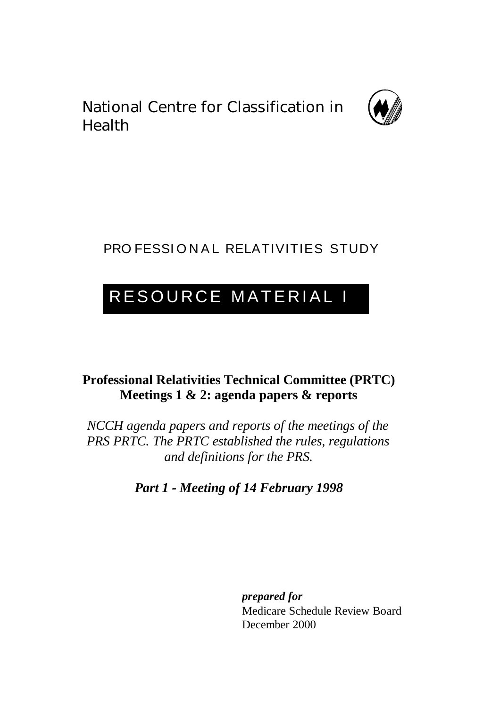National Centre for Classification in Health



# PRO FESSIONAL RELATIVITIES STUDY

# RESOURCE MATERIAL I

# **Professional Relativities Technical Committee (PRTC) Meetings 1 & 2: agenda papers & reports**

*NCCH agenda papers and reports of the meetings of the PRS PRTC. The PRTC established the rules, regulations and definitions for the PRS.*

*Part 1 - Meeting of 14 February 1998*

*prepared for*

Medicare Schedule Review Board December 2000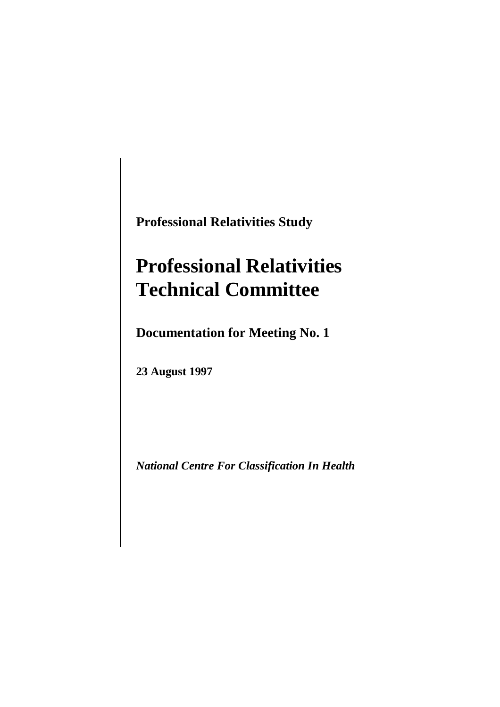**Professional Relativities Study**

# **Professional Relativities Technical Committee**

**Documentation for Meeting No. 1**

**23 August 1997**

*National Centre For Classification In Health*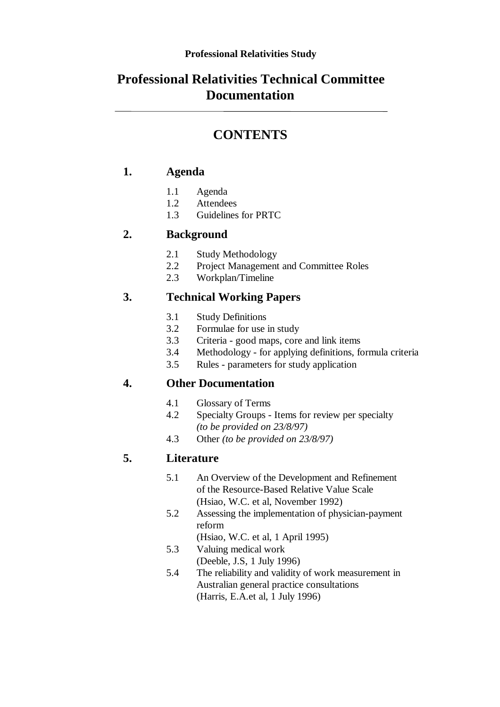# **Professional Relativities Technical Committee Documentation**

# **CONTENTS**

## **1. Agenda**

- 1.1 Agenda
- 1.2 Attendees
- 1.3 Guidelines for PRTC

## **2. Background**

- 2.1 Study Methodology
- 2.2 Project Management and Committee Roles
- 2.3 Workplan/Timeline

## **3. Technical Working Papers**

- 3.1 Study Definitions
- 3.2 Formulae for use in study
- 3.3 Criteria good maps, core and link items
- 3.4 Methodology for applying definitions, formula criteria
- 3.5 Rules parameters for study application

## **4. Other Documentation**

- 4.1 Glossary of Terms
- 4.2 Specialty Groups Items for review per specialty *(to be provided on 23/8/97)*
- 4.3 Other *(to be provided on 23/8/97)*

## **5. Literature**

- 5.1 An Overview of the Development and Refinement of the Resource-Based Relative Value Scale (Hsiao, W.C. et al, November 1992)
- 5.2 Assessing the implementation of physician-payment reform
	- (Hsiao, W.C. et al, 1 April 1995)
- 5.3 Valuing medical work (Deeble, J.S, 1 July 1996)
- 5.4 The reliability and validity of work measurement in Australian general practice consultations (Harris, E.A.et al, 1 July 1996)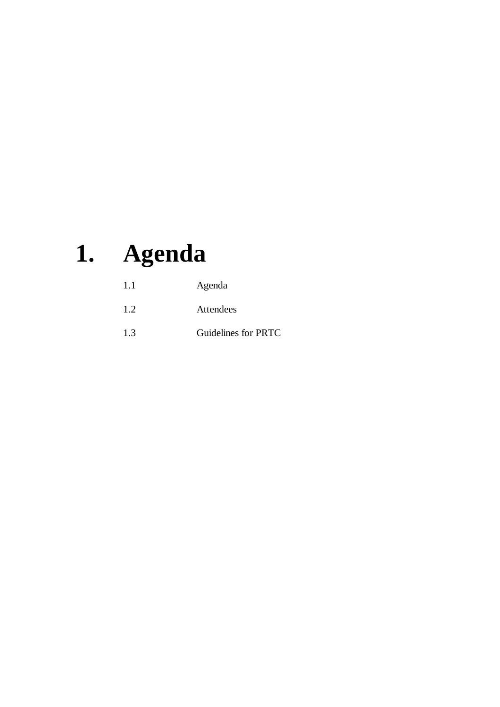# **1. Agenda**

| 1.1 | Agenda              |
|-----|---------------------|
| 1.2 | Attendees           |
| 1.3 | Guidelines for PRTC |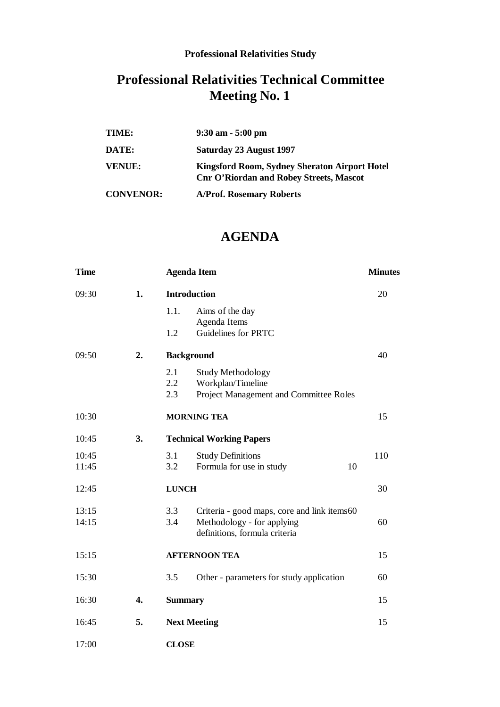## **Professional Relativities Study**

# **Professional Relativities Technical Committee Meeting No. 1**

| TIME:            | $9:30$ am $-5:00$ pm                                                                            |
|------------------|-------------------------------------------------------------------------------------------------|
| DATE:            | Saturday 23 August 1997                                                                         |
| <b>VENUE:</b>    | Kingsford Room, Sydney Sheraton Airport Hotel<br><b>Cnr O'Riordan and Robey Streets, Mascot</b> |
| <b>CONVENOR:</b> | <b>A/Prof. Rosemary Roberts</b>                                                                 |

# **AGENDA**

| <b>Time</b> |                  | <b>Agenda Item</b>                                 |     |
|-------------|------------------|----------------------------------------------------|-----|
| 09:30       | 1.               | <b>Introduction</b>                                | 20  |
|             |                  | 1.1.<br>Aims of the day                            |     |
|             |                  | Agenda Items                                       |     |
|             |                  | Guidelines for PRTC<br>1.2                         |     |
| 09:50       | 2.               | <b>Background</b>                                  | 40  |
|             |                  | 2.1<br><b>Study Methodology</b>                    |     |
|             |                  | $2.2^{\circ}$<br>Workplan/Timeline                 |     |
|             |                  | Project Management and Committee Roles<br>2.3      |     |
| 10:30       |                  | <b>MORNING TEA</b>                                 | 15  |
| 10:45       | 3.               | <b>Technical Working Papers</b>                    |     |
| 10:45       |                  | 3.1<br><b>Study Definitions</b>                    | 110 |
| 11:45       |                  | 3.2<br>Formula for use in study<br>10              |     |
| 12:45       |                  | <b>LUNCH</b>                                       | 30  |
| 13:15       |                  | 3.3<br>Criteria - good maps, core and link items60 |     |
| 14:15       |                  | 3.4<br>Methodology - for applying                  | 60  |
|             |                  | definitions, formula criteria                      |     |
| 15:15       |                  | <b>AFTERNOON TEA</b>                               |     |
| 15:30       |                  | 3.5<br>Other - parameters for study application    | 60  |
|             |                  |                                                    |     |
| 16:30       | $\overline{4}$ . | <b>Summary</b>                                     | 15  |
| 16:45       | 5.               | <b>Next Meeting</b>                                | 15  |
| 17:00       |                  | <b>CLOSE</b>                                       |     |
|             |                  |                                                    |     |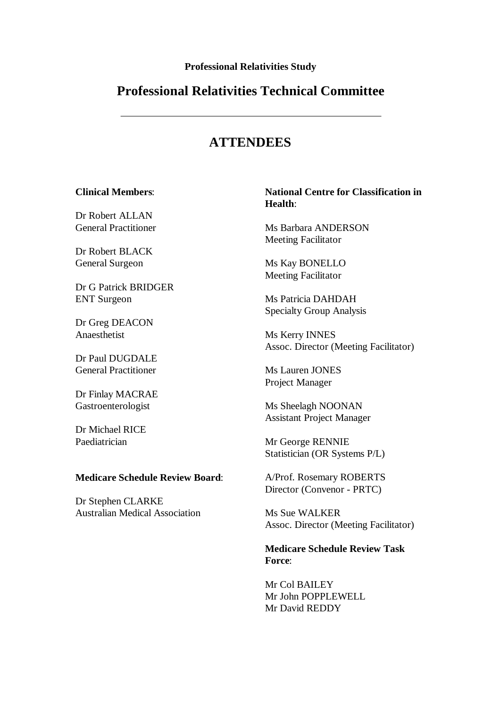**Professional Relativities Study**

## **Professional Relativities Technical Committee**

# **ATTENDEES**

#### **Clinical Members**:

Dr Robert ALLAN General Practitioner

Dr Robert BLACK General Surgeon

Dr G Patrick BRIDGER ENT Surgeon

Dr Greg DEACON Anaesthetist

Dr Paul DUGDALE General Practitioner

Dr Finlay MACRAE Gastroenterologist

Dr Michael RICE Paediatrician

#### **Medicare Schedule Review Board**:

Dr Stephen CLARKE Australian Medical Association

#### **National Centre for Classification in Health**:

Ms Barbara ANDERSON Meeting Facilitator

Ms Kay BONELLO Meeting Facilitator

Ms Patricia DAHDAH Specialty Group Analysis

Ms Kerry INNES Assoc. Director (Meeting Facilitator)

Ms Lauren JONES Project Manager

Ms Sheelagh NOONAN Assistant Project Manager

Mr George RENNIE Statistician (OR Systems P/L)

A/Prof. Rosemary ROBERTS Director (Convenor - PRTC)

Ms Sue WALKER Assoc. Director (Meeting Facilitator)

**Medicare Schedule Review Task Force**:

Mr Col BAILEY Mr John POPPLEWELL Mr David REDDY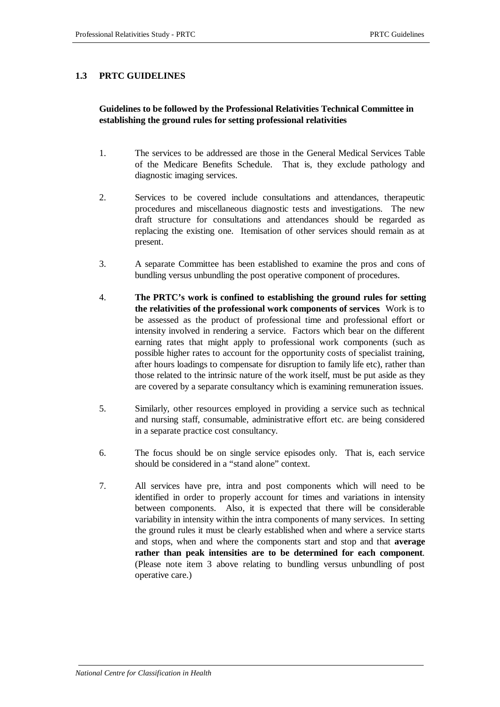#### **1.3 PRTC GUIDELINES**

#### **Guidelines to be followed by the Professional Relativities Technical Committee in establishing the ground rules for setting professional relativities**

- 1. The services to be addressed are those in the General Medical Services Table of the Medicare Benefits Schedule. That is, they exclude pathology and diagnostic imaging services.
- 2. Services to be covered include consultations and attendances, therapeutic procedures and miscellaneous diagnostic tests and investigations. The new draft structure for consultations and attendances should be regarded as replacing the existing one. Itemisation of other services should remain as at present.
- 3. A separate Committee has been established to examine the pros and cons of bundling versus unbundling the post operative component of procedures.
- 4. **The PRTC's work is confined to establishing the ground rules for setting the relativities of the professional work components of services**. Work is to be assessed as the product of professional time and professional effort or intensity involved in rendering a service. Factors which bear on the different earning rates that might apply to professional work components (such as possible higher rates to account for the opportunity costs of specialist training, after hours loadings to compensate for disruption to family life etc), rather than those related to the intrinsic nature of the work itself, must be put aside as they are covered by a separate consultancy which is examining remuneration issues.
- 5. Similarly, other resources employed in providing a service such as technical and nursing staff, consumable, administrative effort etc. are being considered in a separate practice cost consultancy.
- 6. The focus should be on single service episodes only. That is, each service should be considered in a "stand alone" context.
- 7. All services have pre, intra and post components which will need to be identified in order to properly account for times and variations in intensity between components. Also, it is expected that there will be considerable variability in intensity within the intra components of many services. In setting the ground rules it must be clearly established when and where a service starts and stops, when and where the components start and stop and that **average rather than peak intensities are to be determined for each component**. (Please note item 3 above relating to bundling versus unbundling of post operative care.)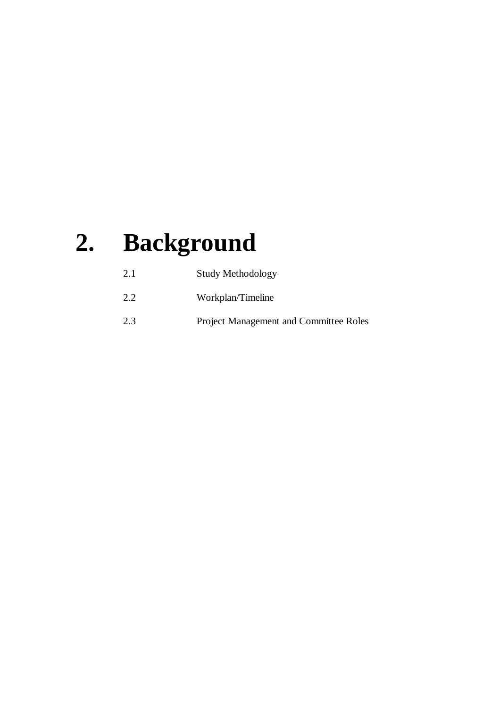# **2. Background**

| 2.1 | Study Methodology                             |
|-----|-----------------------------------------------|
| 2.2 | Workplan/Timeline                             |
| 2.3 | <b>Project Management and Committee Roles</b> |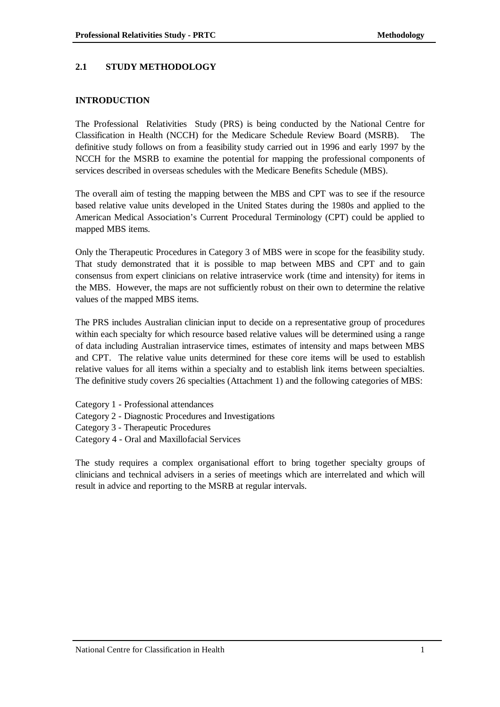#### **2.1 STUDY METHODOLOGY**

#### **INTRODUCTION**

The Professional Relativities Study (PRS) is being conducted by the National Centre for Classification in Health (NCCH) for the Medicare Schedule Review Board (MSRB). The definitive study follows on from a feasibility study carried out in 1996 and early 1997 by the NCCH for the MSRB to examine the potential for mapping the professional components of services described in overseas schedules with the Medicare Benefits Schedule (MBS).

The overall aim of testing the mapping between the MBS and CPT was to see if the resource based relative value units developed in the United States during the 1980s and applied to the American Medical Association's Current Procedural Terminology (CPT) could be applied to mapped MBS items.

Only the Therapeutic Procedures in Category 3 of MBS were in scope for the feasibility study. That study demonstrated that it is possible to map between MBS and CPT and to gain consensus from expert clinicians on relative intraservice work (time and intensity) for items in the MBS. However, the maps are not sufficiently robust on their own to determine the relative values of the mapped MBS items.

The PRS includes Australian clinician input to decide on a representative group of procedures within each specialty for which resource based relative values will be determined using a range of data including Australian intraservice times, estimates of intensity and maps between MBS and CPT. The relative value units determined for these core items will be used to establish relative values for all items within a specialty and to establish link items between specialties. The definitive study covers 26 specialties (Attachment 1) and the following categories of MBS:

- Category 1 Professional attendances
- Category 2 Diagnostic Procedures and Investigations
- Category 3 Therapeutic Procedures
- Category 4 Oral and Maxillofacial Services

The study requires a complex organisational effort to bring together specialty groups of clinicians and technical advisers in a series of meetings which are interrelated and which will result in advice and reporting to the MSRB at regular intervals.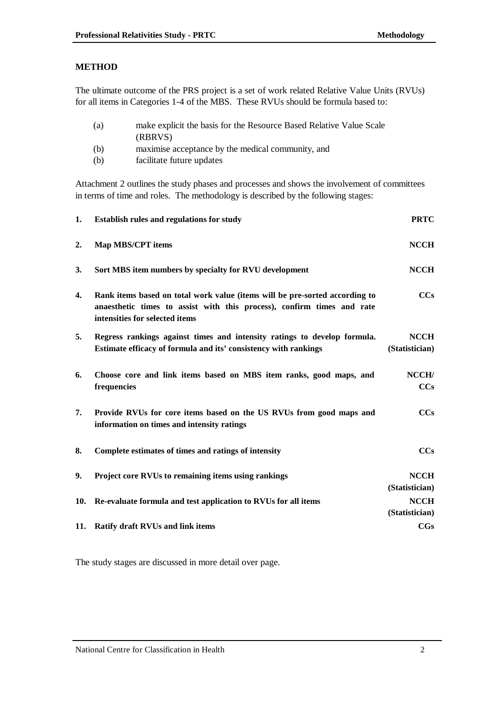#### **METHOD**

The ultimate outcome of the PRS project is a set of work related Relative Value Units (RVUs) for all items in Categories 1-4 of the MBS. These RVUs should be formula based to:

| (a) | make explicit the basis for the Resource Based Relative Value Scale<br>(RBRVS) |
|-----|--------------------------------------------------------------------------------|
| (b) | maximise acceptance by the medical community, and                              |
| (b) | facilitate future updates                                                      |

Attachment 2 outlines the study phases and processes and shows the involvement of committees in terms of time and roles. The methodology is described by the following stages:

| 1.  | <b>Establish rules and regulations for study</b>                                                                                                                                        | <b>PRTC</b>                   |
|-----|-----------------------------------------------------------------------------------------------------------------------------------------------------------------------------------------|-------------------------------|
| 2.  | <b>Map MBS/CPT items</b>                                                                                                                                                                | <b>NCCH</b>                   |
| 3.  | Sort MBS item numbers by specialty for RVU development                                                                                                                                  | <b>NCCH</b>                   |
| 4.  | Rank items based on total work value (items will be pre-sorted according to<br>anaesthetic times to assist with this process), confirm times and rate<br>intensities for selected items | CCs                           |
| 5.  | Regress rankings against times and intensity ratings to develop formula.<br>Estimate efficacy of formula and its' consistency with rankings                                             | <b>NCCH</b><br>(Statistician) |
| 6.  | Choose core and link items based on MBS item ranks, good maps, and<br>frequencies                                                                                                       | NCCH/<br>CCs                  |
| 7.  | Provide RVUs for core items based on the US RVUs from good maps and<br>information on times and intensity ratings                                                                       | CCs                           |
| 8.  | Complete estimates of times and ratings of intensity                                                                                                                                    | CCs                           |
| 9.  | Project core RVUs to remaining items using rankings                                                                                                                                     | <b>NCCH</b><br>(Statistician) |
| 10. | Re-evaluate formula and test application to RVUs for all items                                                                                                                          | <b>NCCH</b><br>(Statistician) |
|     | 11. Ratify draft RVUs and link items                                                                                                                                                    | CGs                           |

The study stages are discussed in more detail over page.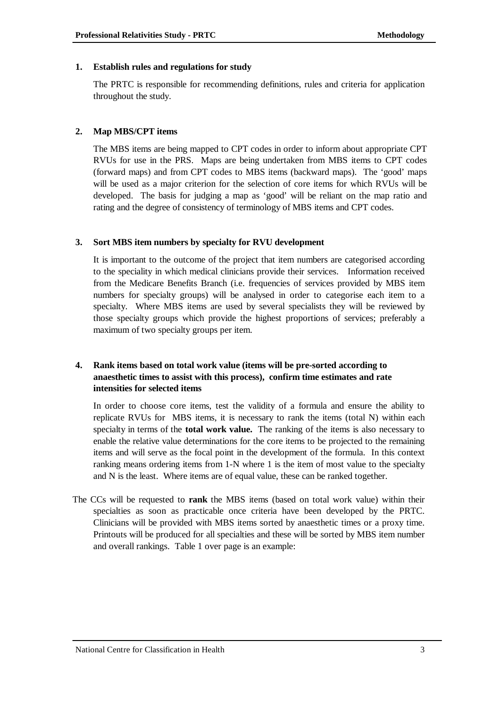#### **1. Establish rules and regulations for study**

The PRTC is responsible for recommending definitions, rules and criteria for application throughout the study.

#### **2. Map MBS/CPT items**

The MBS items are being mapped to CPT codes in order to inform about appropriate CPT RVUs for use in the PRS. Maps are being undertaken from MBS items to CPT codes (forward maps) and from CPT codes to MBS items (backward maps). The 'good' maps will be used as a major criterion for the selection of core items for which RVUs will be developed. The basis for judging a map as 'good' will be reliant on the map ratio and rating and the degree of consistency of terminology of MBS items and CPT codes.

#### **3. Sort MBS item numbers by specialty for RVU development**

It is important to the outcome of the project that item numbers are categorised according to the speciality in which medical clinicians provide their services. Information received from the Medicare Benefits Branch (i.e. frequencies of services provided by MBS item numbers for specialty groups) will be analysed in order to categorise each item to a specialty. Where MBS items are used by several specialists they will be reviewed by those specialty groups which provide the highest proportions of services; preferably a maximum of two specialty groups per item.

#### **4. Rank items based on total work value (items will be pre-sorted according to anaesthetic times to assist with this process), confirm time estimates and rate intensities for selected items**

In order to choose core items, test the validity of a formula and ensure the ability to replicate RVUs for MBS items, it is necessary to rank the items (total N) within each specialty in terms of the **total work value.** The ranking of the items is also necessary to enable the relative value determinations for the core items to be projected to the remaining items and will serve as the focal point in the development of the formula. In this context ranking means ordering items from 1-N where 1 is the item of most value to the specialty and N is the least. Where items are of equal value, these can be ranked together.

The CCs will be requested to **rank** the MBS items (based on total work value) within their specialties as soon as practicable once criteria have been developed by the PRTC. Clinicians will be provided with MBS items sorted by anaesthetic times or a proxy time. Printouts will be produced for all specialties and these will be sorted by MBS item number and overall rankings. Table 1 over page is an example: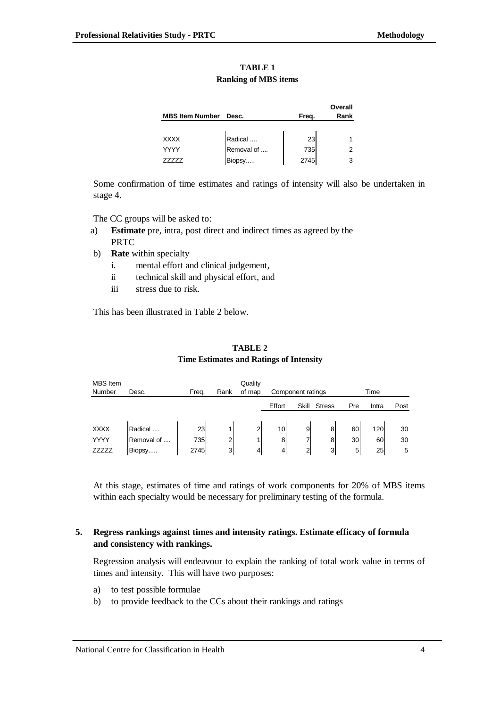| <b>TABLE 1</b>              |  |  |
|-----------------------------|--|--|
| <b>Ranking of MBS items</b> |  |  |

|                        |            |       | Overall |
|------------------------|------------|-------|---------|
| <b>MBS Item Number</b> | Desc.      | Freq. | Rank    |
|                        |            |       |         |
| <b>XXXX</b>            | Radical    | 23    |         |
| YYYY                   | Removal of | 735   | 2       |
|                        | Biopsy     | 2745  |         |

Some confirmation of time estimates and ratings of intensity will also be undertaken in stage 4.

The CC groups will be asked to:

- a) **Estimate** pre, intra, post direct and indirect times as agreed by the PRTC
- b) **Rate** within specialty
	- i. mental effort and clinical judgement,
	- ii technical skill and physical effort, and
	- iii stress due to risk.

This has been illustrated in Table 2 below.

#### **TABLE 2 Time Estimates and Ratings of Intensity**

#### MBS Item Number Desc. Freq. Rank **Quality** of map Component ratings Time Effort Skill Stress Pre Intra Post XXXX |Radical .... | 23| 1| 2| 10| 9| 8| 60| 120| 30 YYYY Removal of .... 735 2 1 8 7 8 30 60 30

At this stage, estimates of time and ratings of work components for 20% of MBS items within each specialty would be necessary for preliminary testing of the formula.

ZZZZZ |Biopsy..... | 2745| 3| 4| 4| 2| 3| 5| 25| 5

#### **5. Regress rankings against times and intensity ratings. Estimate efficacy of formula and consistency with rankings.**

Regression analysis will endeavour to explain the ranking of total work value in terms of times and intensity. This will have two purposes:

- a) to test possible formulae
- b) to provide feedback to the CCs about their rankings and ratings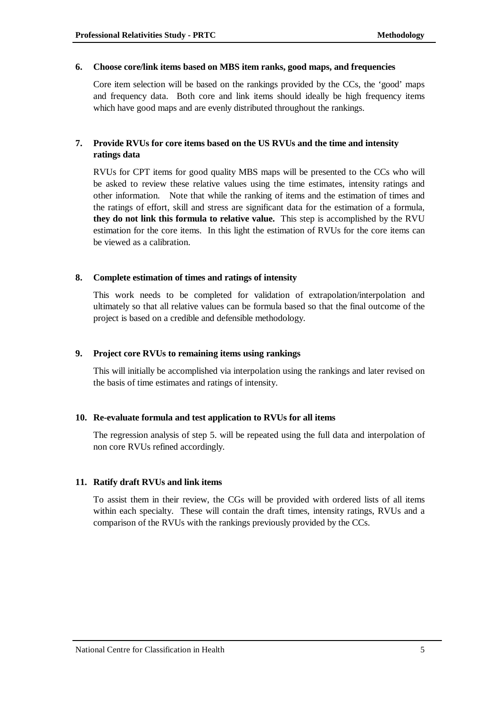#### **6. Choose core/link items based on MBS item ranks, good maps, and frequencies**

Core item selection will be based on the rankings provided by the CCs, the 'good' maps and frequency data. Both core and link items should ideally be high frequency items which have good maps and are evenly distributed throughout the rankings.

#### **7. Provide RVUs for core items based on the US RVUs and the time and intensity ratings data**

RVUs for CPT items for good quality MBS maps will be presented to the CCs who will be asked to review these relative values using the time estimates, intensity ratings and other information. Note that while the ranking of items and the estimation of times and the ratings of effort, skill and stress are significant data for the estimation of a formula, **they do not link this formula to relative value.** This step is accomplished by the RVU estimation for the core items. In this light the estimation of RVUs for the core items can be viewed as a calibration.

#### **8. Complete estimation of times and ratings of intensity**

This work needs to be completed for validation of extrapolation/interpolation and ultimately so that all relative values can be formula based so that the final outcome of the project is based on a credible and defensible methodology.

#### **9. Project core RVUs to remaining items using rankings**

This will initially be accomplished via interpolation using the rankings and later revised on the basis of time estimates and ratings of intensity.

#### **10. Re-evaluate formula and test application to RVUs for all items**

The regression analysis of step 5. will be repeated using the full data and interpolation of non core RVUs refined accordingly.

#### **11. Ratify draft RVUs and link items**

To assist them in their review, the CGs will be provided with ordered lists of all items within each specialty. These will contain the draft times, intensity ratings, RVUs and a comparison of the RVUs with the rankings previously provided by the CCs.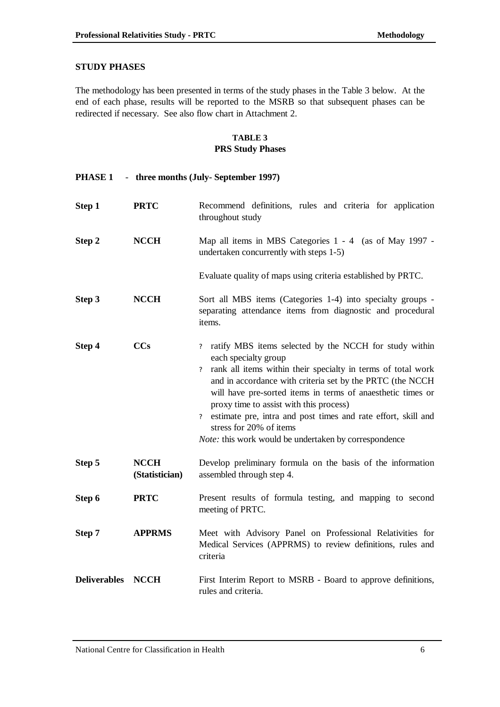#### **STUDY PHASES**

The methodology has been presented in terms of the study phases in the Table 3 below. At the end of each phase, results will be reported to the MSRB so that subsequent phases can be redirected if necessary. See also flow chart in Attachment 2.

#### **TABLE 3 PRS Study Phases**

| PHASE <sub>1</sub><br>- three months (July-September 1997) |                               |                                                                                                                                                                                                                                                                                                                                                                                                                                                                                                                                            |
|------------------------------------------------------------|-------------------------------|--------------------------------------------------------------------------------------------------------------------------------------------------------------------------------------------------------------------------------------------------------------------------------------------------------------------------------------------------------------------------------------------------------------------------------------------------------------------------------------------------------------------------------------------|
| Step 1                                                     | <b>PRTC</b>                   | Recommend definitions, rules and criteria for application<br>throughout study                                                                                                                                                                                                                                                                                                                                                                                                                                                              |
| Step 2                                                     | <b>NCCH</b>                   | Map all items in MBS Categories 1 - 4 (as of May 1997 -<br>undertaken concurrently with steps 1-5)                                                                                                                                                                                                                                                                                                                                                                                                                                         |
|                                                            |                               | Evaluate quality of maps using criteria established by PRTC.                                                                                                                                                                                                                                                                                                                                                                                                                                                                               |
| Step 3                                                     | <b>NCCH</b>                   | Sort all MBS items (Categories 1-4) into specialty groups -<br>separating attendance items from diagnostic and procedural<br>items.                                                                                                                                                                                                                                                                                                                                                                                                        |
| Step 4                                                     | <b>CCs</b>                    | ratify MBS items selected by the NCCH for study within<br>$\overline{?}$<br>each specialty group<br>rank all items within their specialty in terms of total work<br>$\overline{\mathcal{L}}$<br>and in accordance with criteria set by the PRTC (the NCCH<br>will have pre-sorted items in terms of anaesthetic times or<br>proxy time to assist with this process)<br>estimate pre, intra and post times and rate effort, skill and<br>$\overline{?}$<br>stress for 20% of items<br>Note: this work would be undertaken by correspondence |
| Step 5                                                     | <b>NCCH</b><br>(Statistician) | Develop preliminary formula on the basis of the information<br>assembled through step 4.                                                                                                                                                                                                                                                                                                                                                                                                                                                   |
| Step 6                                                     | <b>PRTC</b>                   | Present results of formula testing, and mapping to second<br>meeting of PRTC.                                                                                                                                                                                                                                                                                                                                                                                                                                                              |
| Step 7                                                     | <b>APPRMS</b>                 | Meet with Advisory Panel on Professional Relativities for<br>Medical Services (APPRMS) to review definitions, rules and<br>criteria                                                                                                                                                                                                                                                                                                                                                                                                        |
| <b>Deliverables</b>                                        | <b>NCCH</b>                   | First Interim Report to MSRB - Board to approve definitions,<br>rules and criteria.                                                                                                                                                                                                                                                                                                                                                                                                                                                        |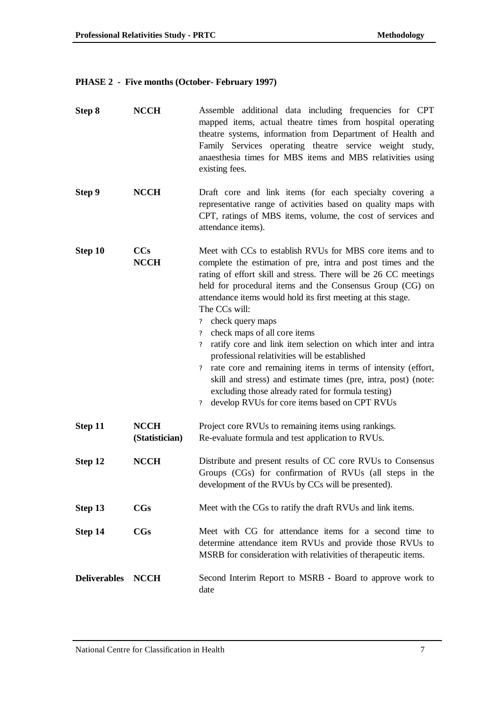### **PHASE 2 - Five months (October- February 1997)**

| Step 8              | <b>NCCH</b>                   | Assemble additional data including frequencies for CPT<br>mapped items, actual theatre times from hospital operating<br>theatre systems, information from Department of Health and<br>Family Services operating theatre service weight study,<br>anaesthesia times for MBS items and MBS relativities using<br>existing fees.                                                                                                                                                                                                                                                                                                                                                                                                                                                                                                                                                               |  |
|---------------------|-------------------------------|---------------------------------------------------------------------------------------------------------------------------------------------------------------------------------------------------------------------------------------------------------------------------------------------------------------------------------------------------------------------------------------------------------------------------------------------------------------------------------------------------------------------------------------------------------------------------------------------------------------------------------------------------------------------------------------------------------------------------------------------------------------------------------------------------------------------------------------------------------------------------------------------|--|
| Step 9              | <b>NCCH</b>                   | Draft core and link items (for each specialty covering a<br>representative range of activities based on quality maps with<br>CPT, ratings of MBS items, volume, the cost of services and<br>attendance items).                                                                                                                                                                                                                                                                                                                                                                                                                                                                                                                                                                                                                                                                              |  |
| Step 10             | <b>CCs</b><br><b>NCCH</b>     | Meet with CCs to establish RVUs for MBS core items and to<br>complete the estimation of pre, intra and post times and the<br>rating of effort skill and stress. There will be 26 CC meetings<br>held for procedural items and the Consensus Group (CG) on<br>attendance items would hold its first meeting at this stage.<br>The CCs will:<br>check query maps<br>$\overline{\mathcal{E}}$<br>check maps of all core items<br>$\overline{\mathcal{L}}$<br>ratify core and link item selection on which inter and intra-<br>$\overline{?}$<br>professional relativities will be established<br>rate core and remaining items in terms of intensity (effort,<br>$\overline{\mathcal{E}}$<br>skill and stress) and estimate times (pre, intra, post) (note:<br>excluding those already rated for formula testing)<br>develop RVUs for core items based on CPT RVUs<br>$\overline{\mathcal{E}}$ |  |
| Step 11             | <b>NCCH</b><br>(Statistician) | Project core RVUs to remaining items using rankings.<br>Re-evaluate formula and test application to RVUs.                                                                                                                                                                                                                                                                                                                                                                                                                                                                                                                                                                                                                                                                                                                                                                                   |  |
| Step 12             | <b>NCCH</b>                   | Distribute and present results of CC core RVUs to Consensus<br>Groups (CGs) for confirmation of RVUs (all steps in the<br>development of the RVUs by CCs will be presented).                                                                                                                                                                                                                                                                                                                                                                                                                                                                                                                                                                                                                                                                                                                |  |
| Step 13             | $_{\rm CGs}$                  | Meet with the CGs to ratify the draft RVUs and link items.                                                                                                                                                                                                                                                                                                                                                                                                                                                                                                                                                                                                                                                                                                                                                                                                                                  |  |
| Step 14             | $_{\rm CGs}$                  | Meet with CG for attendance items for a second time to<br>determine attendance item RVUs and provide those RVUs to<br>MSRB for consideration with relativities of therapeutic items.                                                                                                                                                                                                                                                                                                                                                                                                                                                                                                                                                                                                                                                                                                        |  |
| <b>Deliverables</b> | <b>NCCH</b>                   | Second Interim Report to MSRB - Board to approve work to<br>date                                                                                                                                                                                                                                                                                                                                                                                                                                                                                                                                                                                                                                                                                                                                                                                                                            |  |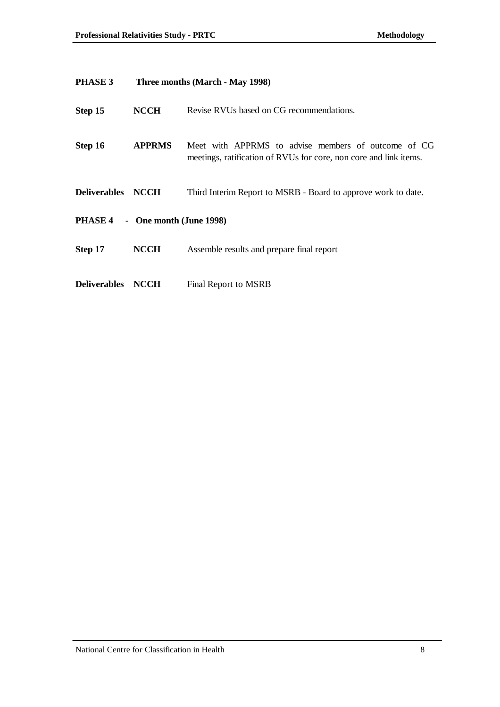| PHASE 3             | Three months (March - May 1998) |                                                                                                                          |
|---------------------|---------------------------------|--------------------------------------------------------------------------------------------------------------------------|
| Step 15             | <b>NCCH</b>                     | Revise RVUs based on CG recommendations.                                                                                 |
| Step 16             | <b>APPRMS</b>                   | Meet with APPRMS to advise members of outcome of CG<br>meetings, ratification of RVUs for core, non core and link items. |
| Deliverables NCCH   |                                 | Third Interim Report to MSRB - Board to approve work to date.                                                            |
| PHASE 4             | - One month (June 1998)         |                                                                                                                          |
| Step 17             | <b>NCCH</b>                     | Assemble results and prepare final report                                                                                |
| <b>Deliverables</b> | <b>NCCH</b>                     | Final Report to MSRB                                                                                                     |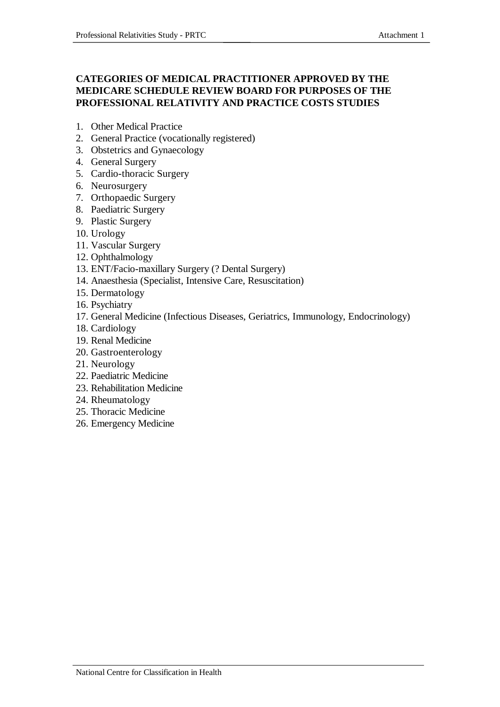#### **CATEGORIES OF MEDICAL PRACTITIONER APPROVED BY THE MEDICARE SCHEDULE REVIEW BOARD FOR PURPOSES OF THE PROFESSIONAL RELATIVITY AND PRACTICE COSTS STUDIES**

- 1. Other Medical Practice
- 2. General Practice (vocationally registered)
- 3. Obstetrics and Gynaecology
- 4. General Surgery
- 5. Cardio-thoracic Surgery
- 6. Neurosurgery
- 7. Orthopaedic Surgery
- 8. Paediatric Surgery
- 9. Plastic Surgery
- 10. Urology
- 11. Vascular Surgery
- 12. Ophthalmology
- 13. ENT/Facio-maxillary Surgery (? Dental Surgery)
- 14. Anaesthesia (Specialist, Intensive Care, Resuscitation)
- 15. Dermatology
- 16. Psychiatry
- 17. General Medicine (Infectious Diseases, Geriatrics, Immunology, Endocrinology)
- 18. Cardiology
- 19. Renal Medicine
- 20. Gastroenterology
- 21. Neurology
- 22. Paediatric Medicine
- 23. Rehabilitation Medicine
- 24. Rheumatology
- 25. Thoracic Medicine
- 26. Emergency Medicine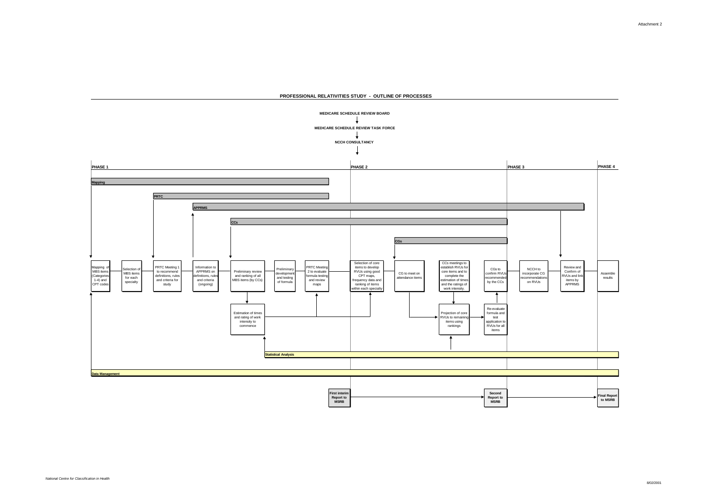

**PROFESSIONAL RELATIVITIES STUDY - OUTLINE OF PROCESSES**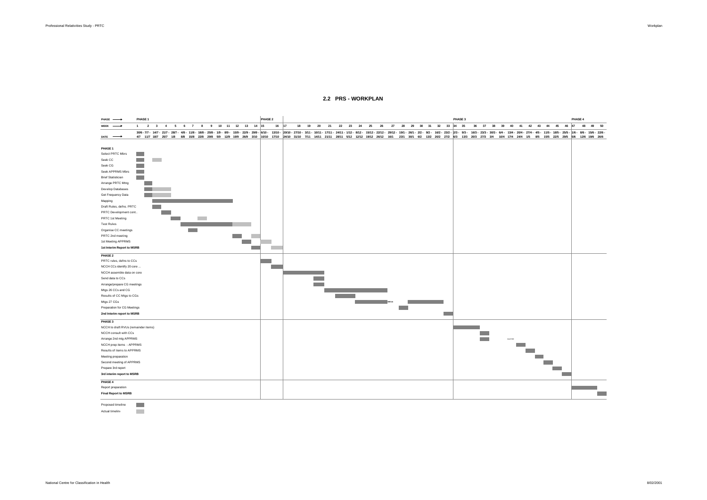Actual timeline

**COL** 

306-77-147-287 1787 188 188 189 289 310 329 289 6700 - 1000 3700 3710 3711 10011 1711 2411 1711 2411 2412 1812 1912 1912 1912 189 200 310 189 189 189 300 373 344 104 174 244 174 244 15 85 155 295 295 196 126 196 289 289 19 **DATE PHASE 1** Select PRTC Mbrs  $\sim$ Seek CC  $\sim 10$  $\sim 10$ Seek CG  $\sim 10$ Seek APPRMS Mbrs **Contract** Brief Statistician **Contract** Arrange PRTC Mtng  $\sim 10$ Develop Databases **College** Get Frequency Data **COLOR** Mapping Draft Rules, defns. PRTC **Contract** PRTC Development cont.. **Contract** PRTC 1st Meeting **Contract COL** Test Rules the control of the control of the control of Organise CC meetings **Contract** PRTC 2nd meeting **Contract Contract** 1st Meeting APPRMS The Co **1st Interim Report to MSRB Contract THE PHASE 2** PRTC rules, defns to CCs ÷ NCCH CCs identify 20 core ... **COL** NCCH assemble data on core Send data to CCs **Contract** Arrange/prepare CG meetings **Contract** Mtgs 26 CCs and CG Results of CC Mtgs to CGs **Contract Contract Contract Contract Contract** Mtgs 27 CGs **BREAK** Preparation for CG Meetings  $\sim$  10  $\pm$ **2nd Interim report to MSRB COL PHASE 3** NCCH to draft RVUs (remainder items) NCCH consult with CCs  $\mathcal{L}^{\text{max}}$ Arrange 2nd mtg APPRMS EASTER NCCH prep items - APPRMS **College** Results of items to APPRMS  $\sim 10$ Meeting preparation **The Co** Second meeting of APPRMS **College** Prepare 3rd report  $\sim 10$ **3rd interim report to MSRB Contract PHASE 4** Report preparation **Final Report to MSRB Contract** Proposed timeline  $\sim$ 

#### **2.2 PRS - WORKPLAN**

**PHASE PHASE 1 PHASE 2 PHASE 3 PHASE 4 WEEK 1 2 3 4 5 6 7 8 9 10 11 12 13 14 15 16 17 18 19 20 21 22 23 24 25 26 27 28 29 30 31 32 33 34 35 36 37 38 39 40 41 42 43 44 45 46 47 48 49 50**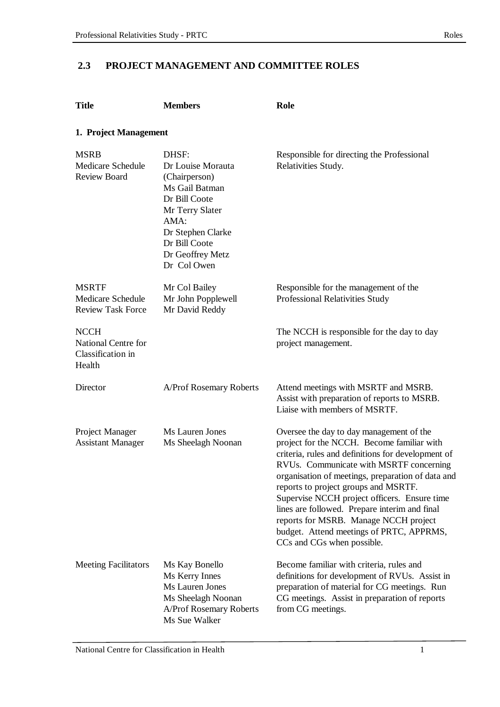### **2.3 PROJECT MANAGEMENT AND COMMITTEE ROLES**

| <b>Title</b>                                                      | <b>Members</b>                                                                                                                                                                     | Role                                                                                                                                                                                                                                                                                                                                                                                                                                                                                                     |  |  |
|-------------------------------------------------------------------|------------------------------------------------------------------------------------------------------------------------------------------------------------------------------------|----------------------------------------------------------------------------------------------------------------------------------------------------------------------------------------------------------------------------------------------------------------------------------------------------------------------------------------------------------------------------------------------------------------------------------------------------------------------------------------------------------|--|--|
| 1. Project Management                                             |                                                                                                                                                                                    |                                                                                                                                                                                                                                                                                                                                                                                                                                                                                                          |  |  |
| <b>MSRB</b><br>Medicare Schedule<br>Review Board                  | DHSF:<br>Dr Louise Morauta<br>(Chairperson)<br>Ms Gail Batman<br>Dr Bill Coote<br>Mr Terry Slater<br>AMA:<br>Dr Stephen Clarke<br>Dr Bill Coote<br>Dr Geoffrey Metz<br>Dr Col Owen | Responsible for directing the Professional<br>Relativities Study.                                                                                                                                                                                                                                                                                                                                                                                                                                        |  |  |
| <b>MSRTF</b><br>Medicare Schedule<br><b>Review Task Force</b>     | Mr Col Bailey<br>Mr John Popplewell<br>Mr David Reddy                                                                                                                              | Responsible for the management of the<br>Professional Relativities Study                                                                                                                                                                                                                                                                                                                                                                                                                                 |  |  |
| <b>NCCH</b><br>National Centre for<br>Classification in<br>Health |                                                                                                                                                                                    | The NCCH is responsible for the day to day<br>project management.                                                                                                                                                                                                                                                                                                                                                                                                                                        |  |  |
| Director                                                          | <b>A/Prof Rosemary Roberts</b>                                                                                                                                                     | Attend meetings with MSRTF and MSRB.<br>Assist with preparation of reports to MSRB.<br>Liaise with members of MSRTF.                                                                                                                                                                                                                                                                                                                                                                                     |  |  |
| Project Manager<br><b>Assistant Manager</b>                       | Ms Lauren Jones<br>Ms Sheelagh Noonan                                                                                                                                              | Oversee the day to day management of the<br>project for the NCCH. Become familiar with<br>criteria, rules and definitions for development of<br>RVUs. Communicate with MSRTF concerning<br>organisation of meetings, preparation of data and<br>reports to project groups and MSRTF.<br>Supervise NCCH project officers. Ensure time<br>lines are followed. Prepare interim and final<br>reports for MSRB. Manage NCCH project<br>budget. Attend meetings of PRTC, APPRMS,<br>CCs and CGs when possible. |  |  |
| <b>Meeting Facilitators</b>                                       | Ms Kay Bonello<br>Ms Kerry Innes<br>Ms Lauren Jones<br>Ms Sheelagh Noonan<br>A/Prof Rosemary Roberts<br>Ms Sue Walker                                                              | Become familiar with criteria, rules and<br>definitions for development of RVUs. Assist in<br>preparation of material for CG meetings. Run<br>CG meetings. Assist in preparation of reports<br>from CG meetings.                                                                                                                                                                                                                                                                                         |  |  |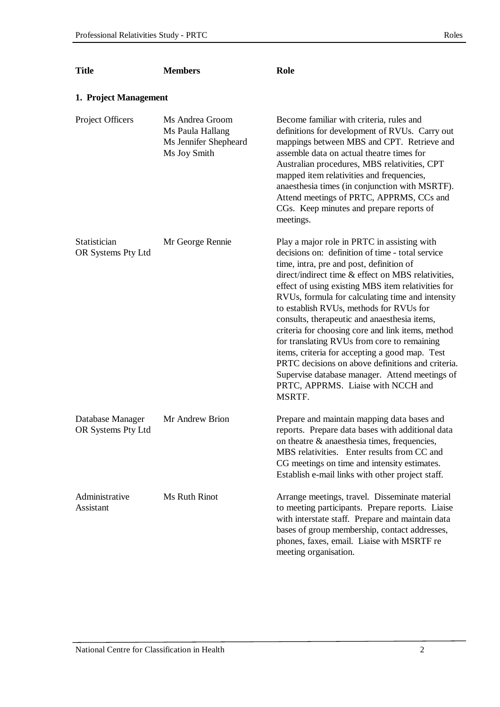| <b>Title</b>                           | <b>Members</b>                                                               | Role                                                                                                                                                                                                                                                                                                                                                                                                                                                                                                                                                                                                                                                                                                                |
|----------------------------------------|------------------------------------------------------------------------------|---------------------------------------------------------------------------------------------------------------------------------------------------------------------------------------------------------------------------------------------------------------------------------------------------------------------------------------------------------------------------------------------------------------------------------------------------------------------------------------------------------------------------------------------------------------------------------------------------------------------------------------------------------------------------------------------------------------------|
| 1. Project Management                  |                                                                              |                                                                                                                                                                                                                                                                                                                                                                                                                                                                                                                                                                                                                                                                                                                     |
| Project Officers                       | Ms Andrea Groom<br>Ms Paula Hallang<br>Ms Jennifer Shepheard<br>Ms Joy Smith | Become familiar with criteria, rules and<br>definitions for development of RVUs. Carry out<br>mappings between MBS and CPT. Retrieve and<br>assemble data on actual theatre times for<br>Australian procedures, MBS relativities, CPT<br>mapped item relativities and frequencies,<br>anaesthesia times (in conjunction with MSRTF).<br>Attend meetings of PRTC, APPRMS, CCs and<br>CGs. Keep minutes and prepare reports of<br>meetings.                                                                                                                                                                                                                                                                           |
| Statistician<br>OR Systems Pty Ltd     | Mr George Rennie                                                             | Play a major role in PRTC in assisting with<br>decisions on: definition of time - total service<br>time, intra, pre and post, definition of<br>direct/indirect time & effect on MBS relativities,<br>effect of using existing MBS item relativities for<br>RVUs, formula for calculating time and intensity<br>to establish RVUs, methods for RVUs for<br>consults, therapeutic and anaesthesia items,<br>criteria for choosing core and link items, method<br>for translating RVUs from core to remaining<br>items, criteria for accepting a good map. Test<br>PRTC decisions on above definitions and criteria.<br>Supervise database manager. Attend meetings of<br>PRTC, APPRMS. Liaise with NCCH and<br>MSRTF. |
| Database Manager<br>OR Systems Pty Ltd | Mr Andrew Brion                                                              | Prepare and maintain mapping data bases and<br>reports. Prepare data bases with additional data<br>on theatre & anaesthesia times, frequencies,<br>MBS relativities. Enter results from CC and<br>CG meetings on time and intensity estimates.<br>Establish e-mail links with other project staff.                                                                                                                                                                                                                                                                                                                                                                                                                  |
| Administrative<br>Assistant            | Ms Ruth Rinot                                                                | Arrange meetings, travel. Disseminate material<br>to meeting participants. Prepare reports. Liaise<br>with interstate staff. Prepare and maintain data<br>bases of group membership, contact addresses,<br>phones, faxes, email. Liaise with MSRTF re<br>meeting organisation.                                                                                                                                                                                                                                                                                                                                                                                                                                      |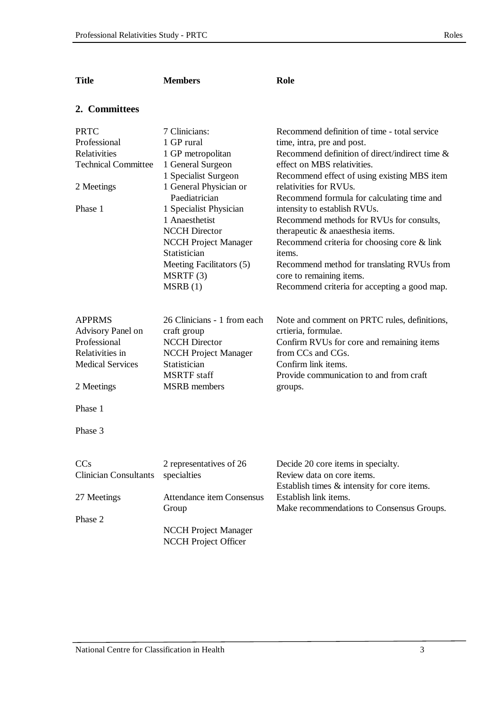| <b>Title</b>                 | <b>Members</b>                              | Role                                                                      |
|------------------------------|---------------------------------------------|---------------------------------------------------------------------------|
| 2. Committees                |                                             |                                                                           |
| <b>PRTC</b>                  | 7 Clinicians:                               | Recommend definition of time - total service                              |
| Professional                 | 1 GP rural                                  | time, intra, pre and post.                                                |
| Relativities                 | 1 GP metropolitan                           | Recommend definition of direct/indirect time &                            |
| <b>Technical Committee</b>   | 1 General Surgeon                           | effect on MBS relativities.                                               |
|                              | 1 Specialist Surgeon                        | Recommend effect of using existing MBS item                               |
| 2 Meetings                   | 1 General Physician or<br>Paediatrician     | relativities for RVUs.<br>Recommend formula for calculating time and      |
| Phase 1                      | 1 Specialist Physician                      | intensity to establish RVUs.                                              |
|                              | 1 Anaesthetist                              | Recommend methods for RVUs for consults,                                  |
|                              | <b>NCCH</b> Director                        | therapeutic & anaesthesia items.                                          |
|                              | <b>NCCH Project Manager</b><br>Statistician | Recommend criteria for choosing core $&$ link<br>items.                   |
|                              | Meeting Facilitators (5)                    | Recommend method for translating RVUs from                                |
|                              | MSRTF(3)                                    | core to remaining items.                                                  |
|                              | MSRB(1)                                     | Recommend criteria for accepting a good map.                              |
| <b>APPRMS</b>                | 26 Clinicians - 1 from each                 | Note and comment on PRTC rules, definitions,                              |
| Advisory Panel on            | craft group                                 | crtieria, formulae.                                                       |
| Professional                 | <b>NCCH</b> Director                        | Confirm RVUs for core and remaining items                                 |
| Relativities in              | <b>NCCH Project Manager</b>                 | from CCs and CGs.                                                         |
| <b>Medical Services</b>      | Statistician                                | Confirm link items.                                                       |
|                              | <b>MSRTF</b> staff                          | Provide communication to and from craft                                   |
| 2 Meetings                   | <b>MSRB</b> members                         | groups.                                                                   |
| Phase 1                      |                                             |                                                                           |
| Phase 3                      |                                             |                                                                           |
| <b>CC<sub>s</sub></b>        | 2 representatives of 26                     | Decide 20 core items in specialty.                                        |
| <b>Clinician Consultants</b> | specialties                                 | Review data on core items.<br>Establish times & intensity for core items. |
| 27 Meetings                  | <b>Attendance item Consensus</b>            | Establish link items.                                                     |
|                              | Group                                       | Make recommendations to Consensus Groups.                                 |
| Phase 2                      |                                             |                                                                           |
|                              | <b>NCCH Project Manager</b>                 |                                                                           |
|                              | NCCH Project Officer                        |                                                                           |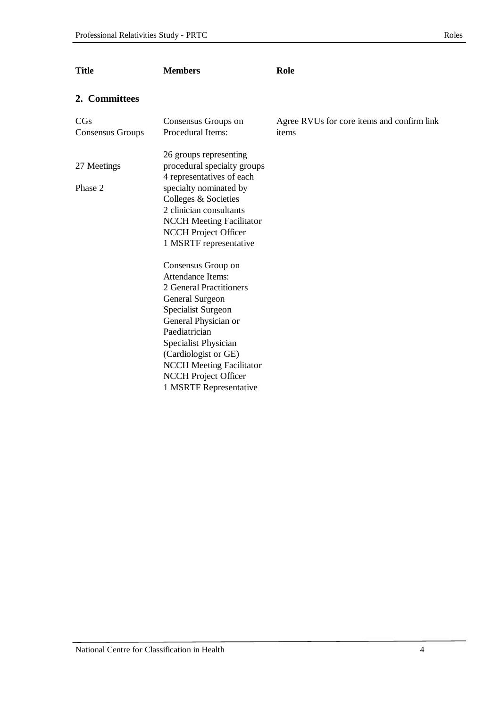| <b>Title</b>            | <b>Members</b>                                                                                                                                                                                                                                                                                   | Role                                                |
|-------------------------|--------------------------------------------------------------------------------------------------------------------------------------------------------------------------------------------------------------------------------------------------------------------------------------------------|-----------------------------------------------------|
| 2. Committees           |                                                                                                                                                                                                                                                                                                  |                                                     |
| CGs<br>Consensus Groups | Consensus Groups on<br>Procedural Items:                                                                                                                                                                                                                                                         | Agree RVUs for core items and confirm link<br>items |
| 27 Meetings<br>Phase 2  | 26 groups representing<br>procedural specialty groups<br>4 representatives of each<br>specialty nominated by<br>Colleges & Societies<br>2 clinician consultants<br><b>NCCH Meeting Facilitator</b><br>NCCH Project Officer<br>1 MSRTF representative                                             |                                                     |
|                         | Consensus Group on<br><b>Attendance Items:</b><br>2 General Practitioners<br>General Surgeon<br>Specialist Surgeon<br>General Physician or<br>Paediatrician<br>Specialist Physician<br>(Cardiologist or GE)<br><b>NCCH</b> Meeting Facilitator<br>NCCH Project Officer<br>1 MSRTF Representative |                                                     |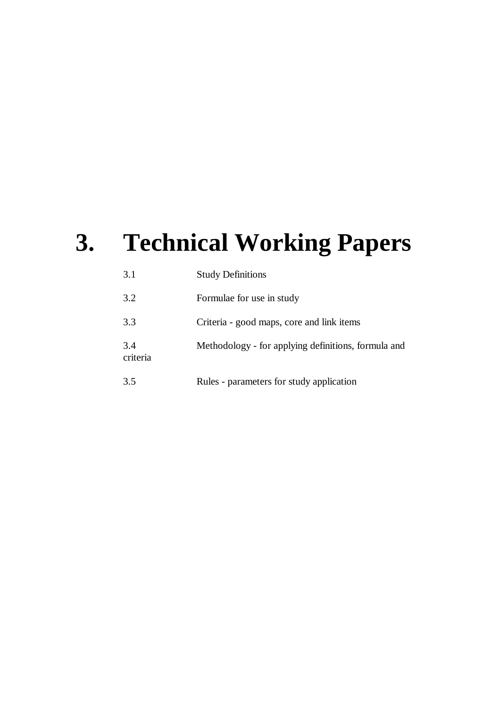# **3. Technical Working Papers**

| 3.1             | <b>Study Definitions</b>                            |
|-----------------|-----------------------------------------------------|
| 3.2             | Formulae for use in study                           |
| 3.3             | Criteria - good maps, core and link items           |
| 3.4<br>criteria | Methodology - for applying definitions, formula and |
| 3.5             | Rules - parameters for study application            |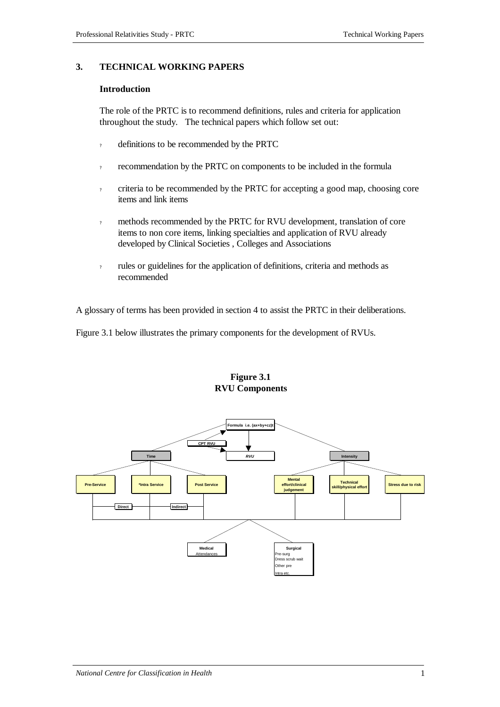#### **3. TECHNICAL WORKING PAPERS**

#### **Introduction**

The role of the PRTC is to recommend definitions, rules and criteria for application throughout the study. The technical papers which follow set out:

- ? definitions to be recommended by the PRTC
- ? recommendation by the PRTC on components to be included in the formula
- ? criteria to be recommended by the PRTC for accepting a good map, choosing core items and link items
- ? methods recommended by the PRTC for RVU development, translation of core items to non core items, linking specialties and application of RVU already developed by Clinical Societies , Colleges and Associations
- rules or guidelines for the application of definitions, criteria and methods as recommended

A glossary of terms has been provided in section 4 to assist the PRTC in their deliberations.

Figure 3.1 below illustrates the primary components for the development of RVUs.

#### **Figure 3.1 RVU Components**

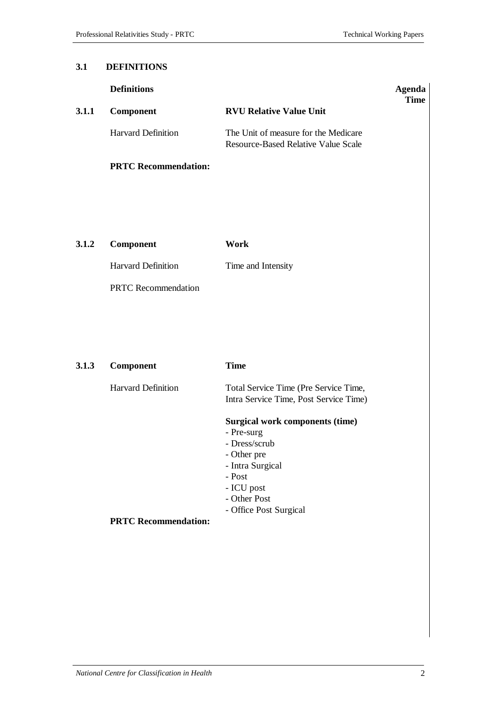#### **3.1 DEFINITIONS**

|       | <b>Definitions</b>          |                                                                                                                                                                            | <b>Agenda</b><br><b>Time</b> |
|-------|-----------------------------|----------------------------------------------------------------------------------------------------------------------------------------------------------------------------|------------------------------|
| 3.1.1 | Component                   | <b>RVU Relative Value Unit</b>                                                                                                                                             |                              |
|       | <b>Harvard Definition</b>   | The Unit of measure for the Medicare<br><b>Resource-Based Relative Value Scale</b>                                                                                         |                              |
|       | <b>PRTC Recommendation:</b> |                                                                                                                                                                            |                              |
|       |                             |                                                                                                                                                                            |                              |
| 3.1.2 | Component                   | <b>Work</b>                                                                                                                                                                |                              |
|       | <b>Harvard Definition</b>   | Time and Intensity                                                                                                                                                         |                              |
|       | <b>PRTC</b> Recommendation  |                                                                                                                                                                            |                              |
|       |                             |                                                                                                                                                                            |                              |
|       |                             |                                                                                                                                                                            |                              |
| 3.1.3 | Component                   | <b>Time</b>                                                                                                                                                                |                              |
|       | <b>Harvard Definition</b>   | Total Service Time (Pre Service Time,<br>Intra Service Time, Post Service Time)                                                                                            |                              |
|       |                             | <b>Surgical work components (time)</b><br>- Pre-surg<br>- Dress/scrub<br>- Other pre<br>- Intra Surgical<br>- Post<br>- ICU post<br>- Other Post<br>- Office Post Surgical |                              |
|       | <b>PRTC Recommendation:</b> |                                                                                                                                                                            |                              |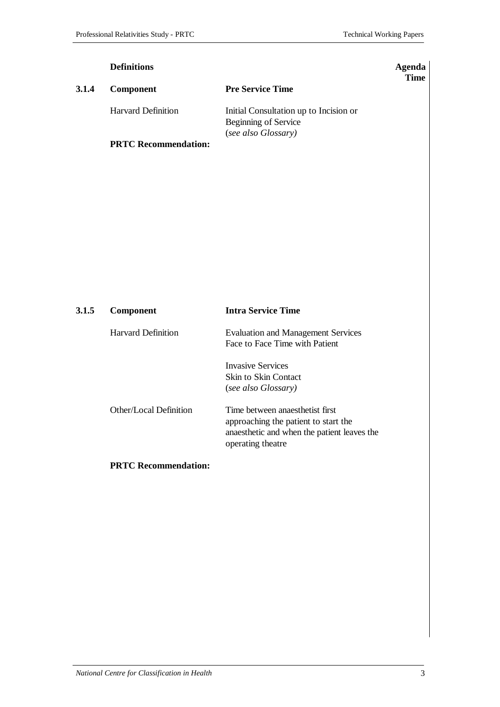|       | <b>Definitions</b>          |                                                                                       | Agenda<br><b>Time</b> |
|-------|-----------------------------|---------------------------------------------------------------------------------------|-----------------------|
| 3.1.4 | <b>Component</b>            | <b>Pre Service Time</b>                                                               |                       |
|       | <b>Harvard Definition</b>   | Initial Consultation up to Incision or<br>Beginning of Service<br>(see also Glossary) |                       |
|       | <b>PRTC Recommendation:</b> |                                                                                       |                       |

| 3.1.5 | <b>Component</b>          | <b>Intra Service Time</b>                                                                                                                   |
|-------|---------------------------|---------------------------------------------------------------------------------------------------------------------------------------------|
|       | <b>Harvard Definition</b> | <b>Evaluation and Management Services</b><br>Face to Face Time with Patient                                                                 |
|       |                           | <b>Invasive Services</b><br>Skin to Skin Contact<br>(see also Glossary)                                                                     |
|       | Other/Local Definition    | Time between anaesthetist first<br>approaching the patient to start the<br>anaesthetic and when the patient leaves the<br>operating theatre |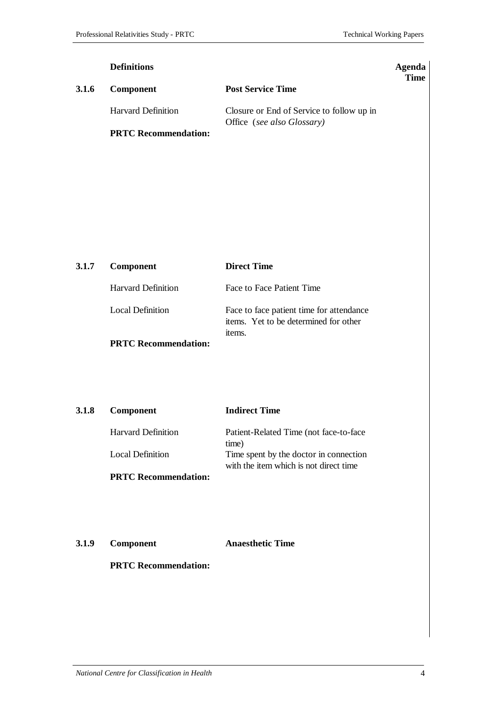|       | <b>Definitions</b>          |                                                                         |             |
|-------|-----------------------------|-------------------------------------------------------------------------|-------------|
| 3.1.6 | <b>Component</b>            | <b>Post Service Time</b>                                                | <b>Time</b> |
|       | <b>Harvard Definition</b>   | Closure or End of Service to follow up in<br>Office (see also Glossary) |             |
|       | <b>PRTC Recommendation:</b> |                                                                         |             |
|       |                             |                                                                         |             |

| 3.1.7 | <b>Component</b>            | <b>Direct Time</b>                                                                          |
|-------|-----------------------------|---------------------------------------------------------------------------------------------|
|       | <b>Harvard Definition</b>   | Face to Face Patient Time                                                                   |
|       | Local Definition            | Face to face patient time for attendance<br>items. Yet to be determined for other<br>items. |
|       | <b>PRTC Recommendation:</b> |                                                                                             |

| 3.1.8 | Component                   | <b>Indirect Time</b>                                                             |
|-------|-----------------------------|----------------------------------------------------------------------------------|
|       | <b>Harvard Definition</b>   | Patient-Related Time (not face-to-face)<br>time)                                 |
|       | Local Definition            | Time spent by the doctor in connection<br>with the item which is not direct time |
|       | <b>PRTC Recommendation:</b> |                                                                                  |

**3.1.9 Component Anaesthetic Time**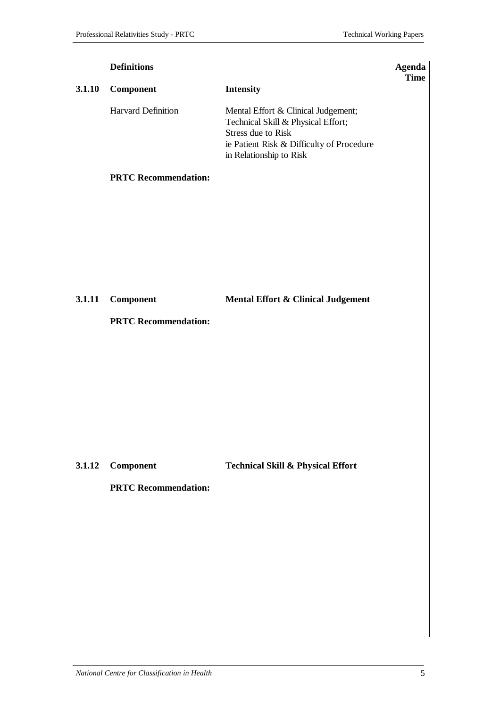|        | <b>Definitions</b>          |                                                                                                                                                                         | <b>Agenda</b><br><b>Time</b> |
|--------|-----------------------------|-------------------------------------------------------------------------------------------------------------------------------------------------------------------------|------------------------------|
| 3.1.10 | Component                   | <b>Intensity</b>                                                                                                                                                        |                              |
|        | <b>Harvard Definition</b>   | Mental Effort & Clinical Judgement;<br>Technical Skill & Physical Effort;<br>Stress due to Risk<br>ie Patient Risk & Difficulty of Procedure<br>in Relationship to Risk |                              |
|        | <b>PRTC Recommendation:</b> |                                                                                                                                                                         |                              |
| 3.1.11 | Component                   | Mental Effort & Clinical Judgement                                                                                                                                      |                              |
|        | <b>PRTC Recommendation:</b> |                                                                                                                                                                         |                              |
| 3.1.12 | Component                   | <b>Technical Skill &amp; Physical Effort</b>                                                                                                                            |                              |
|        | <b>PRTC Recommendation:</b> |                                                                                                                                                                         |                              |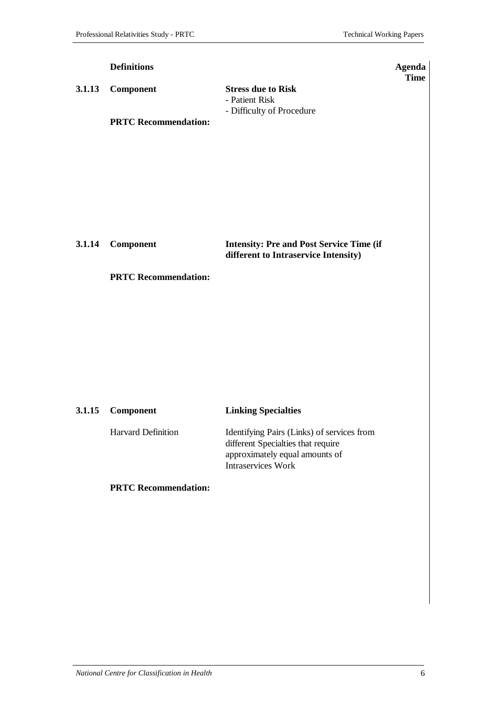|        | <b>Definitions</b>          |                                                                                         | <b>Agenda</b><br><b>Time</b> |
|--------|-----------------------------|-----------------------------------------------------------------------------------------|------------------------------|
| 3.1.13 | Component                   | <b>Stress due to Risk</b><br>- Patient Risk<br>- Difficulty of Procedure                |                              |
|        | <b>PRTC Recommendation:</b> |                                                                                         |                              |
|        |                             |                                                                                         |                              |
|        |                             |                                                                                         |                              |
|        |                             |                                                                                         |                              |
| 3.1.14 | Component                   | <b>Intensity: Pre and Post Service Time (if</b><br>different to Intraservice Intensity) |                              |
|        | <b>PRTC Recommendation:</b> |                                                                                         |                              |

| 3.1.15 Component          | <b>Linking Specialties</b>                                                                                                                      |
|---------------------------|-------------------------------------------------------------------------------------------------------------------------------------------------|
| <b>Harvard Definition</b> | Identifying Pairs (Links) of services from<br>different Specialties that require<br>approximately equal amounts of<br><b>Intraservices Work</b> |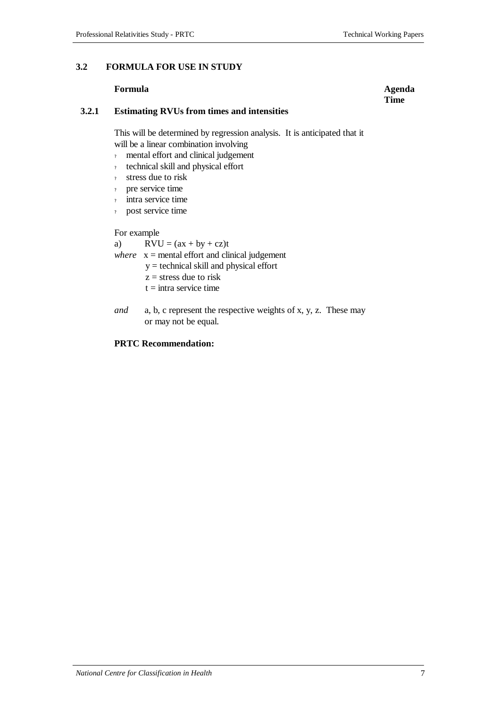#### **3.2 FORMULA FOR USE IN STUDY**

#### **Formula Agenda**

#### **3.2.1 Estimating RVUs from times and intensities**

This will be determined by regression analysis. It is anticipated that it will be a linear combination involving

- ? mental effort and clinical judgement
- ? technical skill and physical effort
- ? stress due to risk
- ? pre service time
- intra service time
- post service time

For example

a)  $RVU = (ax + by + cz)t$ 

- *where*  $x =$  mental effort and clinical judgement
	- y = technical skill and physical effort
		- $z =$  stress due to risk
		- $t =$ intra service time
- *and* a, b, c represent the respective weights of x, y, z. These may or may not be equal.

#### **PRTC Recommendation:**

#### *National Centre for Classification in Health* 7

# **Time**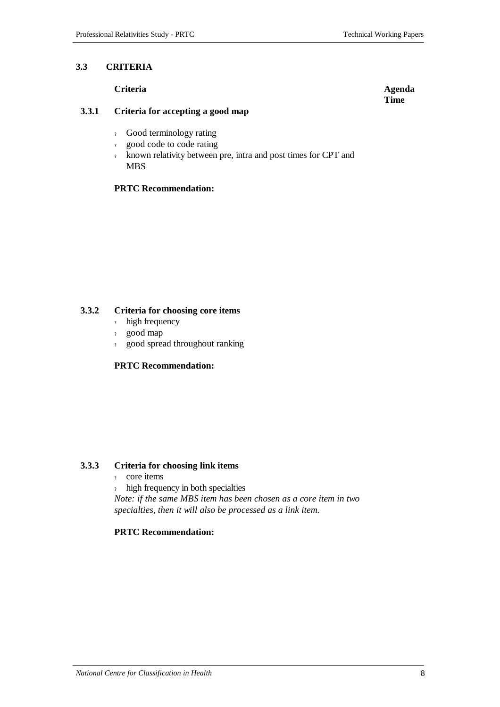#### **3.3 CRITERIA**

#### **Criteria Agenda**

#### **3.3.1 Criteria for accepting a good map**

- ? Good terminology rating
- ? good code to code rating
- ? known relativity between pre, intra and post times for CPT and MBS

#### **PRTC Recommendation:**

#### **3.3.2 Criteria for choosing core items**

- ? high frequency
- ? good map
- ? good spread throughout ranking

#### **PRTC Recommendation:**

#### **3.3.3 Criteria for choosing link items**

- ? core items
- high frequency in both specialties

*Note: if the same MBS item has been chosen as a core item in two specialties, then it will also be processed as a link item.*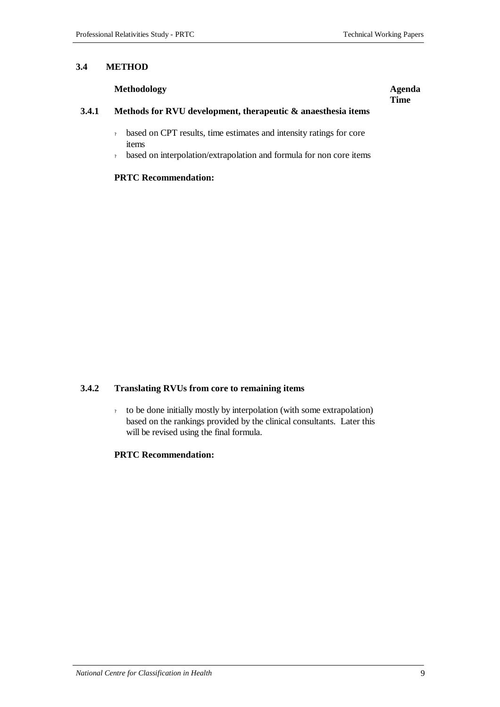**Time**

#### **3.4 METHOD**

#### **Methodology Agenda**

#### **3.4.1 Methods for RVU development, therapeutic & anaesthesia items**

- ? based on CPT results, time estimates and intensity ratings for core items
- ? based on interpolation/extrapolation and formula for non core items

#### **PRTC Recommendation:**

#### **3.4.2 Translating RVUs from core to remaining items**

? to be done initially mostly by interpolation (with some extrapolation) based on the rankings provided by the clinical consultants. Later this will be revised using the final formula.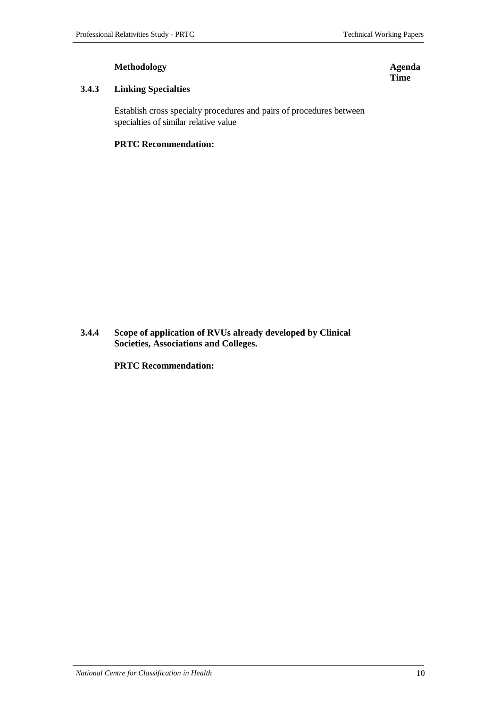#### **Methodology Agenda**

#### **3.4.3 Linking Specialties**

Establish cross specialty procedures and pairs of procedures between specialties of similar relative value

#### **PRTC Recommendation:**

**3.4.4 Scope of application of RVUs already developed by Clinical Societies, Associations and Colleges.**

**PRTC Recommendation:**

*National Centre for Classification in Health* 10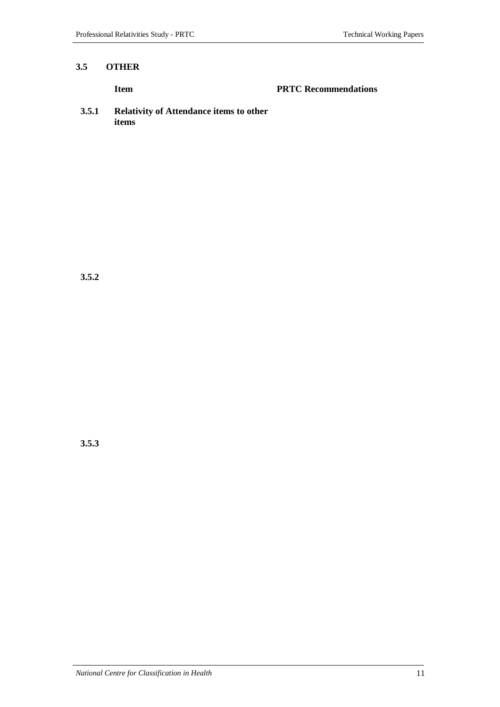#### **3.5 OTHER**

#### **Item PRTC Recommendations**

**3.5.1 Relativity of Attendance items to other items**

**3.5.2**

**3.5.3**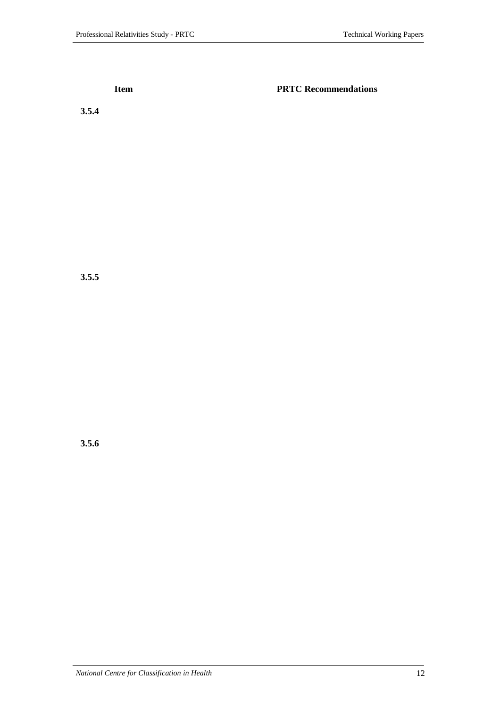**Item PRTC Recommendations** 

**3.5.4**

**3.5.5**

**3.5.6**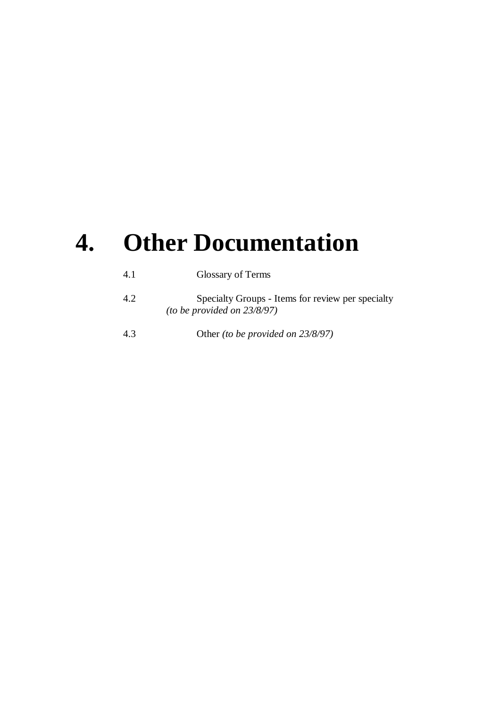# **4. Other Documentation**

| 4.1 | Glossary of Terms                                                                   |
|-----|-------------------------------------------------------------------------------------|
| 4.2 | Specialty Groups - Items for review per specialty<br>(to be provided on $23/8/97$ ) |
| 4.3 | Other (to be provided on 23/8/97)                                                   |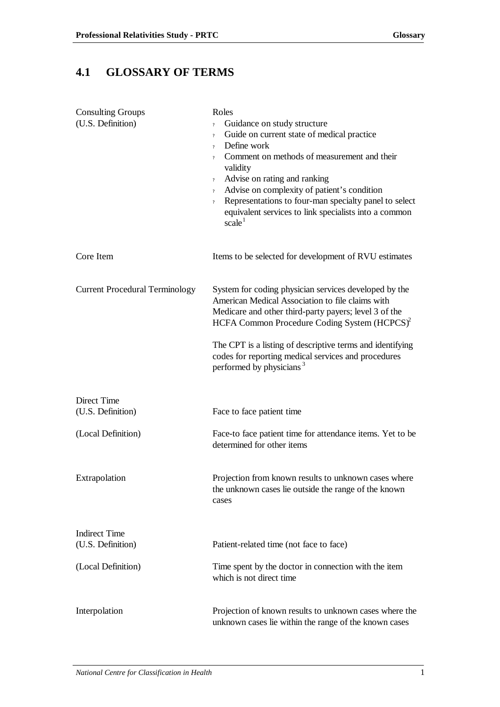# **4.1 GLOSSARY OF TERMS**

| <b>Consulting Groups</b>              | Roles                                                                                                                                                                                                                          |
|---------------------------------------|--------------------------------------------------------------------------------------------------------------------------------------------------------------------------------------------------------------------------------|
| (U.S. Definition)                     | Guidance on study structure<br>$\overline{?}$                                                                                                                                                                                  |
|                                       | Guide on current state of medical practice<br>$\overline{?}$                                                                                                                                                                   |
|                                       | Define work<br>$\overline{?}$                                                                                                                                                                                                  |
|                                       | Comment on methods of measurement and their<br>$\overline{?}$<br>validity                                                                                                                                                      |
|                                       | Advise on rating and ranking<br>$\overline{?}$                                                                                                                                                                                 |
|                                       | Advise on complexity of patient's condition<br>$\overline{?}$                                                                                                                                                                  |
|                                       | Representations to four-man specialty panel to select<br>$\overline{\mathcal{L}}$<br>equivalent services to link specialists into a common<br>scale <sup>1</sup>                                                               |
| Core Item                             | Items to be selected for development of RVU estimates                                                                                                                                                                          |
| <b>Current Procedural Terminology</b> | System for coding physician services developed by the<br>American Medical Association to file claims with<br>Medicare and other third-party payers; level 3 of the<br>HCFA Common Procedure Coding System (HCPCS) <sup>2</sup> |
|                                       | The CPT is a listing of descriptive terms and identifying<br>codes for reporting medical services and procedures<br>performed by physicians <sup>3</sup>                                                                       |
| <b>Direct Time</b>                    |                                                                                                                                                                                                                                |
| (U.S. Definition)                     | Face to face patient time                                                                                                                                                                                                      |
| (Local Definition)                    | Face-to face patient time for attendance items. Yet to be<br>determined for other items                                                                                                                                        |
| Extrapolation                         | Projection from known results to unknown cases where<br>the unknown cases lie outside the range of the known<br>cases                                                                                                          |
|                                       |                                                                                                                                                                                                                                |
| <b>Indirect Time</b>                  |                                                                                                                                                                                                                                |
| (U.S. Definition)                     | Patient-related time (not face to face)                                                                                                                                                                                        |
| (Local Definition)                    | Time spent by the doctor in connection with the item<br>which is not direct time                                                                                                                                               |
| Interpolation                         | Projection of known results to unknown cases where the<br>unknown cases lie within the range of the known cases                                                                                                                |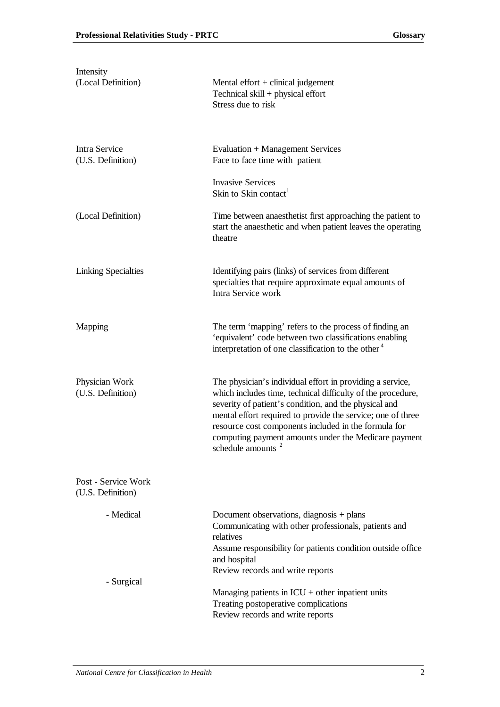| Intensity<br>(Local Definition)          | Mental effort $+$ clinical judgement<br>Technical skill + physical effort<br>Stress due to risk                                                                                                                                                                                                                                                                                      |
|------------------------------------------|--------------------------------------------------------------------------------------------------------------------------------------------------------------------------------------------------------------------------------------------------------------------------------------------------------------------------------------------------------------------------------------|
| Intra Service<br>(U.S. Definition)       | Evaluation + Management Services<br>Face to face time with patient                                                                                                                                                                                                                                                                                                                   |
|                                          | <b>Invasive Services</b><br>Skin to Skin contact <sup>1</sup>                                                                                                                                                                                                                                                                                                                        |
| (Local Definition)                       | Time between anaesthetist first approaching the patient to<br>start the anaesthetic and when patient leaves the operating<br>theatre                                                                                                                                                                                                                                                 |
| <b>Linking Specialties</b>               | Identifying pairs (links) of services from different<br>specialties that require approximate equal amounts of<br>Intra Service work                                                                                                                                                                                                                                                  |
| Mapping                                  | The term 'mapping' refers to the process of finding an<br>'equivalent' code between two classifications enabling<br>interpretation of one classification to the other <sup>4</sup>                                                                                                                                                                                                   |
| Physician Work<br>(U.S. Definition)      | The physician's individual effort in providing a service,<br>which includes time, technical difficulty of the procedure,<br>severity of patient's condition, and the physical and<br>mental effort required to provide the service; one of three<br>resource cost components included in the formula for<br>computing payment amounts under the Medicare payment<br>schedule amounts |
| Post - Service Work<br>(U.S. Definition) |                                                                                                                                                                                                                                                                                                                                                                                      |
| - Medical                                | Document observations, diagnosis $+$ plans<br>Communicating with other professionals, patients and<br>relatives<br>Assume responsibility for patients condition outside office<br>and hospital<br>Review records and write reports                                                                                                                                                   |
| - Surgical                               | Managing patients in $ICU$ + other inpatient units<br>Treating postoperative complications<br>Review records and write reports                                                                                                                                                                                                                                                       |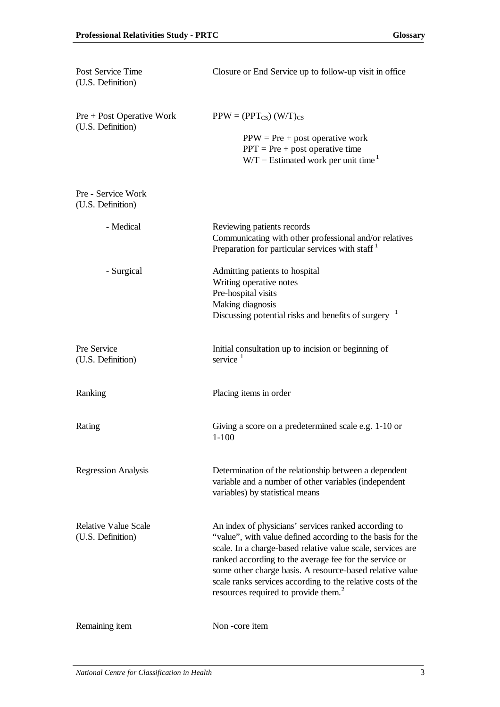| Post Service Time<br>(U.S. Definition)           | Closure or End Service up to follow-up visit in office                                                                                                                                                                                                                                                                                                                                                                     |
|--------------------------------------------------|----------------------------------------------------------------------------------------------------------------------------------------------------------------------------------------------------------------------------------------------------------------------------------------------------------------------------------------------------------------------------------------------------------------------------|
| $Pre + Post Operator Work$<br>(U.S. Definition)  | $PPW = (PPT_{CS}) (W/T)_{CS}$<br>$PPW = Pre + post operative work$<br>$PPT = Pre + post operative time$<br>$W/T =$ Estimated work per unit time <sup>1</sup>                                                                                                                                                                                                                                                               |
| Pre - Service Work<br>(U.S. Definition)          |                                                                                                                                                                                                                                                                                                                                                                                                                            |
| - Medical                                        | Reviewing patients records<br>Communicating with other professional and/or relatives<br>Preparation for particular services with staff <sup>1</sup>                                                                                                                                                                                                                                                                        |
| - Surgical                                       | Admitting patients to hospital<br>Writing operative notes<br>Pre-hospital visits<br>Making diagnosis<br>Discussing potential risks and benefits of surgery <sup>1</sup>                                                                                                                                                                                                                                                    |
| Pre Service<br>(U.S. Definition)                 | Initial consultation up to incision or beginning of<br>service $1$                                                                                                                                                                                                                                                                                                                                                         |
| Ranking                                          | Placing items in order                                                                                                                                                                                                                                                                                                                                                                                                     |
| Rating                                           | Giving a score on a predetermined scale e.g. 1-10 or<br>$1 - 100$                                                                                                                                                                                                                                                                                                                                                          |
| <b>Regression Analysis</b>                       | Determination of the relationship between a dependent<br>variable and a number of other variables (independent<br>variables) by statistical means                                                                                                                                                                                                                                                                          |
| <b>Relative Value Scale</b><br>(U.S. Definition) | An index of physicians' services ranked according to<br>"value", with value defined according to the basis for the<br>scale. In a charge-based relative value scale, services are<br>ranked according to the average fee for the service or<br>some other charge basis. A resource-based relative value<br>scale ranks services according to the relative costs of the<br>resources required to provide them. <sup>2</sup> |
| Remaining item                                   | Non-core item                                                                                                                                                                                                                                                                                                                                                                                                              |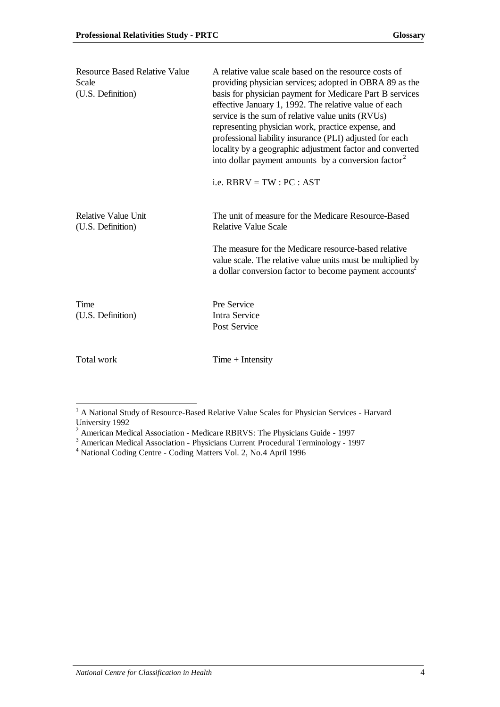| <b>Resource Based Relative Value</b><br>Scale<br>(U.S. Definition) | A relative value scale based on the resource costs of<br>providing physician services; adopted in OBRA 89 as the<br>basis for physician payment for Medicare Part B services<br>effective January 1, 1992. The relative value of each<br>service is the sum of relative value units (RVUs)<br>representing physician work, practice expense, and<br>professional liability insurance (PLI) adjusted for each<br>locality by a geographic adjustment factor and converted<br>into dollar payment amounts by a conversion factor <sup>2</sup><br>i.e. $RBRV = TW : PC : AST$ |
|--------------------------------------------------------------------|----------------------------------------------------------------------------------------------------------------------------------------------------------------------------------------------------------------------------------------------------------------------------------------------------------------------------------------------------------------------------------------------------------------------------------------------------------------------------------------------------------------------------------------------------------------------------|
| <b>Relative Value Unit</b><br>(U.S. Definition)                    | The unit of measure for the Medicare Resource-Based<br><b>Relative Value Scale</b>                                                                                                                                                                                                                                                                                                                                                                                                                                                                                         |
|                                                                    | The measure for the Medicare resource-based relative<br>value scale. The relative value units must be multiplied by<br>a dollar conversion factor to become payment accounts <sup>2</sup>                                                                                                                                                                                                                                                                                                                                                                                  |
| Time<br>(U.S. Definition)                                          | Pre Service<br><b>Intra Service</b><br>Post Service                                                                                                                                                                                                                                                                                                                                                                                                                                                                                                                        |
| Total work                                                         | $Time + Intensity$                                                                                                                                                                                                                                                                                                                                                                                                                                                                                                                                                         |

<sup>&</sup>lt;sup>1</sup> A National Study of Resource-Based Relative Value Scales for Physician Services - Harvard

University 1992<br>
<sup>2</sup> American Medical Association - Medicare RBRVS: The Physicians Guide - 1997<br>
<sup>3</sup> American Medical Association - Physicians Current Procedural Terminology - 1997<br>
<sup>4</sup> National Coding Centre - Coding Matt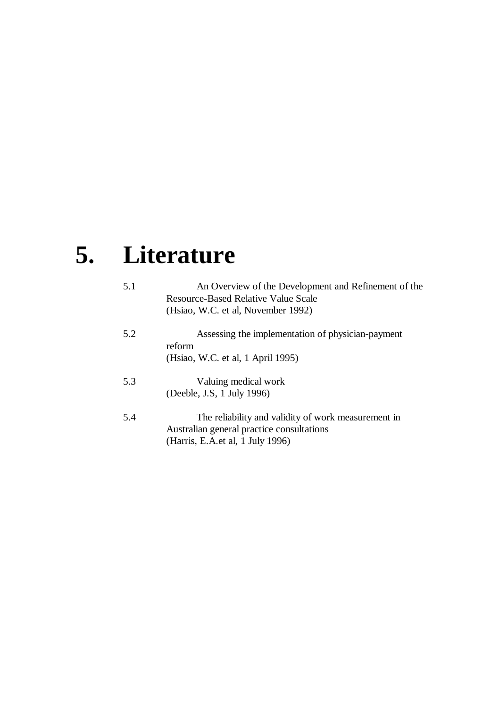# **5. Literature**

| 5.1 | An Overview of the Development and Refinement of the<br>Resource-Based Relative Value Scale<br>(Hsiao, W.C. et al, November 1992)     |
|-----|---------------------------------------------------------------------------------------------------------------------------------------|
| 5.2 | Assessing the implementation of physician-payment<br>reform<br>(Hsiao, W.C. et al, 1 April 1995)                                      |
| 5.3 | Valuing medical work<br>(Deeble, J.S. 1 July 1996)                                                                                    |
| 5.4 | The reliability and validity of work measurement in<br>Australian general practice consultations<br>(Harris, E.A. et al, 1 July 1996) |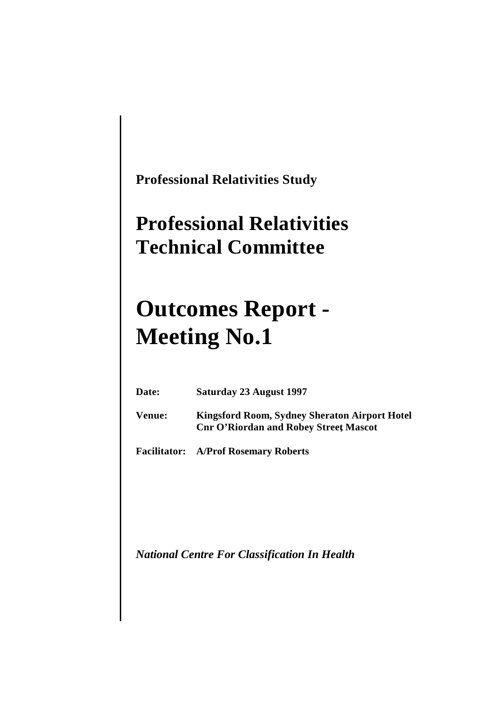**Professional Relativities Study**

# **Professional Relativities Technical Committee**

# **Outcomes Report - Meeting No.1**

| Date:  | Saturday 23 August 1997                                                                              |
|--------|------------------------------------------------------------------------------------------------------|
| Venue: | <b>Kingsford Room, Sydney Sheraton Airport Hotel</b><br><b>Cnr O'Riordan and Robey Street Mascot</b> |
|        | <b>Facilitator:</b> A/Prof Rosemary Roberts                                                          |

*National Centre For Classification In Health*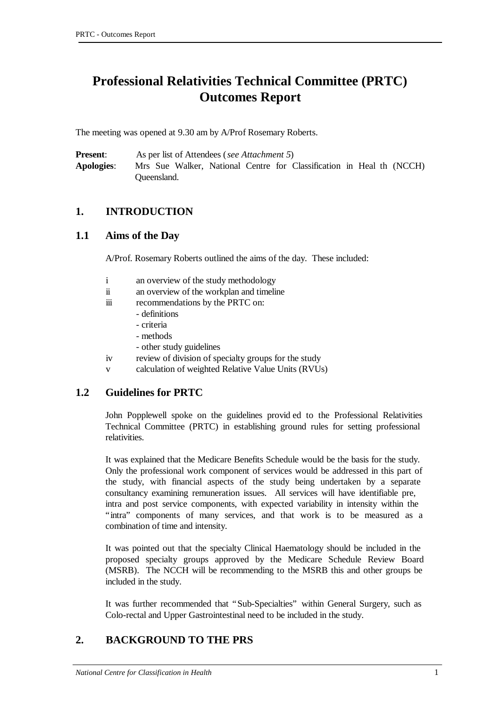# **Professional Relativities Technical Committee (PRTC) Outcomes Report**

The meeting was opened at 9.30 am by A/Prof Rosemary Roberts.

**Present**: As per list of Attendees (*see Attachment 5*) **Apologies**: Mrs Sue Walker, National Centre for Classification in Heal th (NCCH) Queensland.

### **1. INTRODUCTION**

#### **1.1 Aims of the Day**

A/Prof. Rosemary Roberts outlined the aims of the day. These included:

- i an overview of the study methodology
- ii an overview of the workplan and timeline
- iii recommendations by the PRTC on:
	- definitions
	- criteria
	- methods
	- other study guidelines
- iv review of division of specialty groups for the study
- v calculation of weighted Relative Value Units (RVUs)

#### **1.2 Guidelines for PRTC**

John Popplewell spoke on the guidelines provid ed to the Professional Relativities Technical Committee (PRTC) in establishing ground rules for setting professional relativities.

It was explained that the Medicare Benefits Schedule would be the basis for the study. Only the professional work component of services would be addressed in this part of the study, with financial aspects of the study being undertaken by a separate consultancy examining remuneration issues. All services will have identifiable pre, intra and post service components, with expected variability in intensity within the "intra" components of many services, and that work is to be measured as a combination of time and intensity.

It was pointed out that the specialty Clinical Haematology should be included in the proposed specialty groups approved by the Medicare Schedule Review Board (MSRB). The NCCH will be recommending to the MSRB this and other groups be included in the study.

It was further recommended that "Sub-Specialties" within General Surgery, such as Colo-rectal and Upper Gastrointestinal need to be included in the study.

## **2. BACKGROUND TO THE PRS**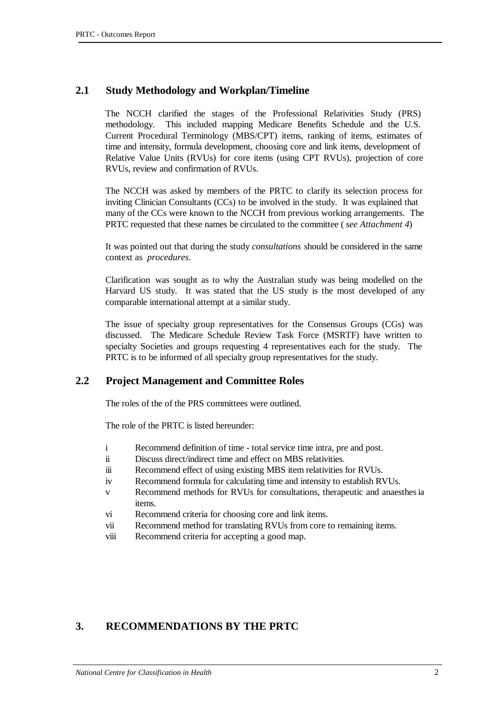### **2.1 Study Methodology and Workplan/Timeline**

The NCCH clarified the stages of the Professional Relativities Study (PRS) methodology. This included mapping Medicare Benefits Schedule and the U.S. Current Procedural Terminology (MBS/CPT) items, ranking of items, estimates of time and intensity, formula development, choosing core and link items, development of Relative Value Units (RVUs) for core items (using CPT RVUs), projection of core RVUs, review and confirmation of RVUs.

The NCCH was asked by members of the PRTC to clarify its selection process for inviting Clinician Consultants (CCs) to be involved in the study. It was explained that many of the CCs were known to the NCCH from previous working arrangements. The PRTC requested that these names be circulated to the committee ( *see Attachment 4*)

It was pointed out that during the study *consultations* should be considered in the same context as *procedures*.

Clarification was sought as to why the Australian study was being modelled on the Harvard US study. It was stated that the US study is the most developed of any comparable international attempt at a similar study.

The issue of specialty group representatives for the Consensus Groups (CGs) was discussed. The Medicare Schedule Review Task Force (MSRTF) have written to specialty Societies and groups requesting 4 representatives each for the study. The PRTC is to be informed of all specialty group representatives for the study.

#### **2.2 Project Management and Committee Roles**

The roles of the of the PRS committees were outlined.

The role of the PRTC is listed hereunder:

- i Recommend definition of time total service time intra, pre and post.
- ii Discuss direct/indirect time and effect on MBS relativities.
- iii Recommend effect of using existing MBS item relativities for RVUs.
- iv Recommend formula for calculating time and intensity to establish RVUs.
- v Recommend methods for RVUs for consultations, therapeutic and anaesthesia items.
- vi Recommend criteria for choosing core and link items.
- vii Recommend method for translating RVUs from core to remaining items.
- viii Recommend criteria for accepting a good map.

## **3. RECOMMENDATIONS BY THE PRTC**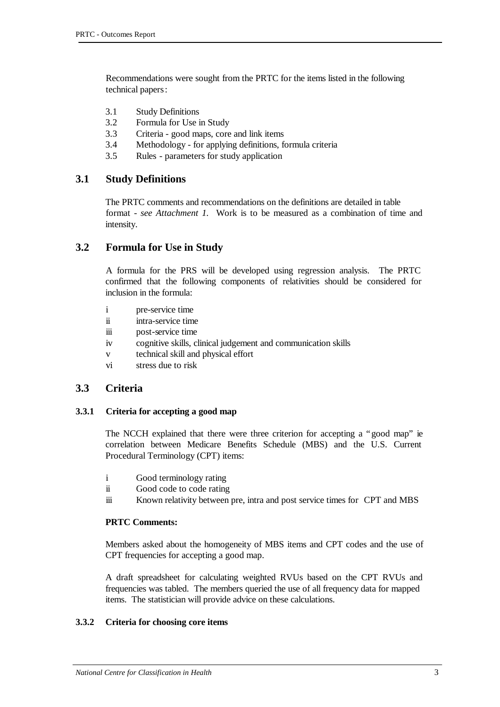Recommendations were sought from the PRTC for the items listed in the following technical papers:

- 3.1 Study Definitions
- 3.2 Formula for Use in Study
- 3.3 Criteria good maps, core and link items
- 3.4 Methodology for applying definitions, formula criteria
- 3.5 Rules parameters for study application

#### **3.1 Study Definitions**

The PRTC comments and recommendations on the definitions are detailed in table format - *see Attachment 1*. Work is to be measured as a combination of time and intensity.

#### **3.2 Formula for Use in Study**

A formula for the PRS will be developed using regression analysis. The PRTC confirmed that the following components of relativities should be considered for inclusion in the formula:

- i pre-service time
- ii intra-service time
- iii post-service time
- iv cognitive skills, clinical judgement and communication skills
- v technical skill and physical effort
- vi stress due to risk

#### **3.3 Criteria**

#### **3.3.1 Criteria for accepting a good map**

The NCCH explained that there were three criterion for accepting a "good map" ie correlation between Medicare Benefits Schedule (MBS) and the U.S. Current Procedural Terminology (CPT) items:

- i Good terminology rating
- ii Good code to code rating
- iii Known relativity between pre, intra and post service times for CPT and MBS

#### **PRTC Comments:**

Members asked about the homogeneity of MBS items and CPT codes and the use of CPT frequencies for accepting a good map.

A draft spreadsheet for calculating weighted RVUs based on the CPT RVUs and frequencies was tabled. The members queried the use of all frequency data for mapped items. The statistician will provide advice on these calculations.

#### **3.3.2 Criteria for choosing core items**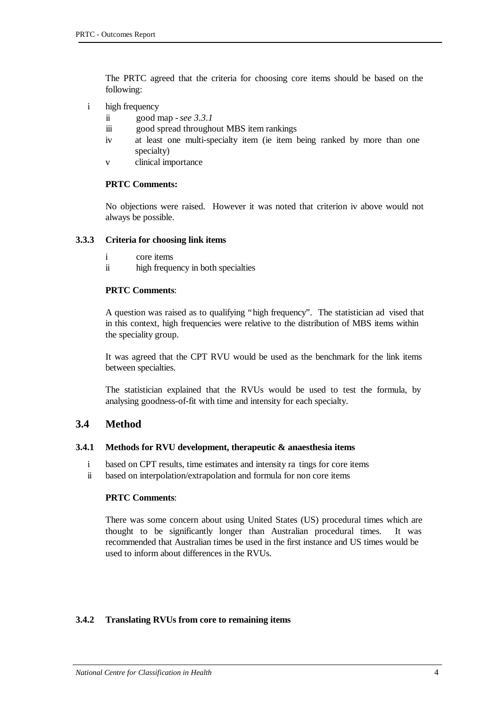The PRTC agreed that the criteria for choosing core items should be based on the following:

- i high frequency
	- ii good map *see 3.3.1*
	- iii good spread throughout MBS item rankings
	- iv at least one multi-specialty item (ie item being ranked by more than one specialty)
	- v clinical importance

#### **PRTC Comments:**

No objections were raised. However it was noted that criterion iv above would not always be possible.

#### **3.3.3 Criteria for choosing link items**

- i core items
- ii high frequency in both specialties

#### **PRTC Comments**:

A question was raised as to qualifying "high frequency". The statistician ad vised that in this context, high frequencies were relative to the distribution of MBS items within the speciality group.

It was agreed that the CPT RVU would be used as the benchmark for the link items between specialties.

The statistician explained that the RVUs would be used to test the formula, by analysing goodness-of-fit with time and intensity for each specialty.

#### **3.4 Method**

#### **3.4.1 Methods for RVU development, therapeutic & anaesthesia items**

- i based on CPT results, time estimates and intensity ra tings for core items
- ii based on interpolation/extrapolation and formula for non core items

#### **PRTC Comments**:

There was some concern about using United States (US) procedural times which are thought to be significantly longer than Australian procedural times. It was recommended that Australian times be used in the first instance and US times would be used to inform about differences in the RVUs.

#### **3.4.2 Translating RVUs from core to remaining items**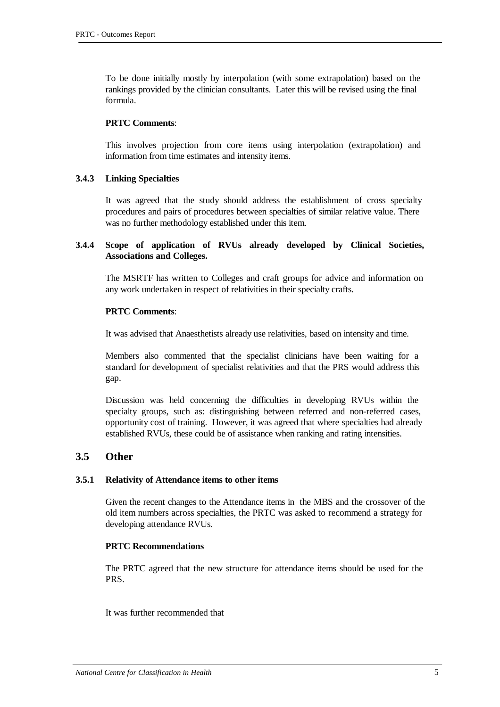To be done initially mostly by interpolation (with some extrapolation) based on the rankings provided by the clinician consultants. Later this will be revised using the final formula.

#### **PRTC Comments**:

This involves projection from core items using interpolation (extrapolation) and information from time estimates and intensity items.

#### **3.4.3 Linking Specialties**

It was agreed that the study should address the establishment of cross specialty procedures and pairs of procedures between specialties of similar relative value. There was no further methodology established under this item.

#### **3.4.4 Scope of application of RVUs already developed by Clinical Societies, Associations and Colleges.**

The MSRTF has written to Colleges and craft groups for advice and information on any work undertaken in respect of relativities in their specialty crafts.

#### **PRTC Comments**:

It was advised that Anaesthetists already use relativities, based on intensity and time.

Members also commented that the specialist clinicians have been waiting for a standard for development of specialist relativities and that the PRS would address this gap.

Discussion was held concerning the difficulties in developing RVUs within the specialty groups, such as: distinguishing between referred and non-referred cases, opportunity cost of training. However, it was agreed that where specialties had already established RVUs, these could be of assistance when ranking and rating intensities.

#### **3.5 Other**

#### **3.5.1 Relativity of Attendance items to other items**

Given the recent changes to the Attendance items in the MBS and the crossover of the old item numbers across specialties, the PRTC was asked to recommend a strategy for developing attendance RVUs.

#### **PRTC Recommendations**

The PRTC agreed that the new structure for attendance items should be used for the PRS.

It was further recommended that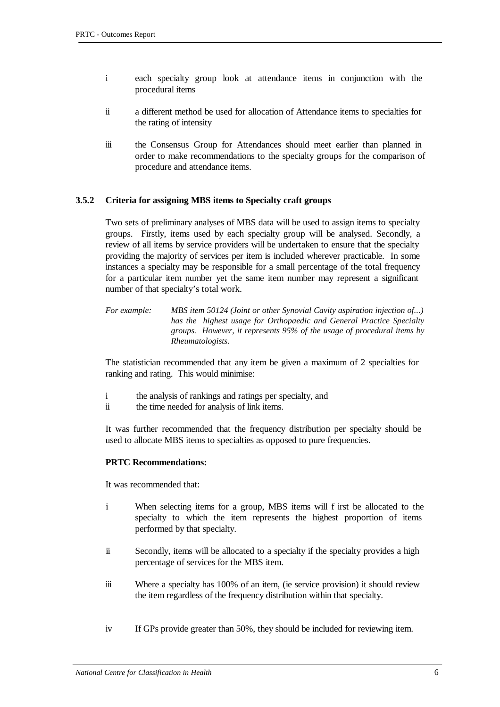- i each specialty group look at attendance items in conjunction with the procedural items
- ii a different method be used for allocation of Attendance items to specialties for the rating of intensity
- iii the Consensus Group for Attendances should meet earlier than planned in order to make recommendations to the specialty groups for the comparison of procedure and attendance items.

#### **3.5.2 Criteria for assigning MBS items to Specialty craft groups**

Two sets of preliminary analyses of MBS data will be used to assign items to specialty groups. Firstly, items used by each specialty group will be analysed. Secondly, a review of all items by service providers will be undertaken to ensure that the specialty providing the majority of services per item is included wherever practicable. In some instances a specialty may be responsible for a small percentage of the total frequency for a particular item number yet the same item number may represent a significant number of that specialty's total work.

*For example: MBS item 50124 (Joint or other Synovial Cavity aspiration injection of...) has the highest usage for Orthopaedic and General Practice Specialty groups. However, it represents 95% of the usage of procedural items by Rheumatologists.*

The statistician recommended that any item be given a maximum of 2 specialties for ranking and rating. This would minimise:

- i the analysis of rankings and ratings per specialty, and
- ii the time needed for analysis of link items.

It was further recommended that the frequency distribution per specialty should be used to allocate MBS items to specialties as opposed to pure frequencies.

#### **PRTC Recommendations:**

It was recommended that:

- i When selecting items for a group, MBS items will f irst be allocated to the specialty to which the item represents the highest proportion of items performed by that specialty.
- ii Secondly, items will be allocated to a specialty if the specialty provides a high percentage of services for the MBS item.
- iii Where a specialty has 100% of an item, (ie service provision) it should review the item regardless of the frequency distribution within that specialty.
- iv If GPs provide greater than 50%, they should be included for reviewing item.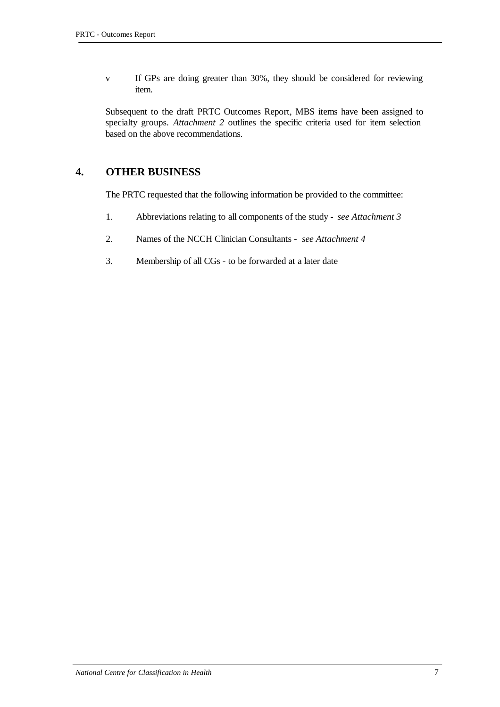v If GPs are doing greater than 30%, they should be considered for reviewing item.

Subsequent to the draft PRTC Outcomes Report, MBS items have been assigned to specialty groups. *Attachment 2* outlines the specific criteria used for item selection based on the above recommendations.

### **4. OTHER BUSINESS**

The PRTC requested that the following information be provided to the committee:

- 1. Abbreviations relating to all components of the study *see Attachment 3*
- 2. Names of the NCCH Clinician Consultants *see Attachment 4*
- 3. Membership of all CGs to be forwarded at a later date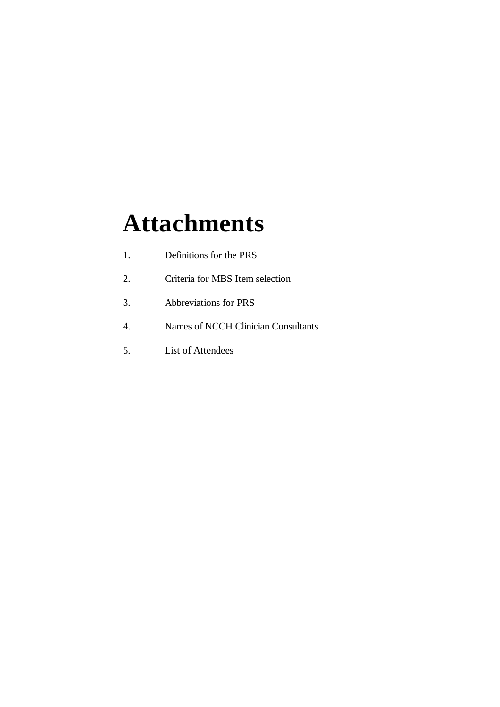# **Attachments**

- 1. Definitions for the PRS
- 2. Criteria for MBS Item selection
- 3. Abbreviations for PRS
- 4. Names of NCCH Clinician Consultants
- 5. List of Attendees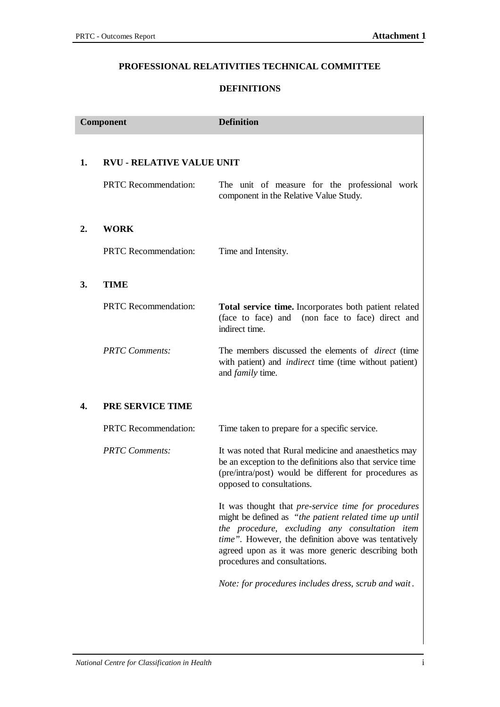#### **PROFESSIONAL RELATIVITIES TECHNICAL COMMITTEE**

#### **DEFINITIONS**

| Component        |                                  | <b>Definition</b>                                                                                                                                                                                                                                                                                              |
|------------------|----------------------------------|----------------------------------------------------------------------------------------------------------------------------------------------------------------------------------------------------------------------------------------------------------------------------------------------------------------|
| 1.               | <b>RVU - RELATIVE VALUE UNIT</b> |                                                                                                                                                                                                                                                                                                                |
|                  | <b>PRTC</b> Recommendation:      | The unit of measure for the professional work<br>component in the Relative Value Study.                                                                                                                                                                                                                        |
| $\overline{2}$ . | <b>WORK</b>                      |                                                                                                                                                                                                                                                                                                                |
|                  | <b>PRTC</b> Recommendation:      | Time and Intensity.                                                                                                                                                                                                                                                                                            |
| 3.               | <b>TIME</b>                      |                                                                                                                                                                                                                                                                                                                |
|                  | <b>PRTC</b> Recommendation:      | Total service time. Incorporates both patient related<br>(non face to face) direct and<br>(face to face) and<br>indirect time.                                                                                                                                                                                 |
|                  | <b>PRTC</b> Comments:            | The members discussed the elements of <i>direct</i> (time<br>with patient) and <i>indirect</i> time (time without patient)<br>and <i>family</i> time.                                                                                                                                                          |
| 4.               | <b>PRE SERVICE TIME</b>          |                                                                                                                                                                                                                                                                                                                |
|                  | <b>PRTC</b> Recommendation:      | Time taken to prepare for a specific service.                                                                                                                                                                                                                                                                  |
|                  | <b>PRTC</b> Comments:            | It was noted that Rural medicine and anaesthetics may<br>be an exception to the definitions also that service time<br>(pre/intra/post) would be different for procedures as<br>opposed to consultations.                                                                                                       |
|                  |                                  | It was thought that pre-service time for procedures<br>might be defined as "the patient related time up until<br>the procedure, excluding any consultation item<br>time". However, the definition above was tentatively<br>agreed upon as it was more generic describing both<br>procedures and consultations. |
|                  |                                  | Note: for procedures includes dress, scrub and wait.                                                                                                                                                                                                                                                           |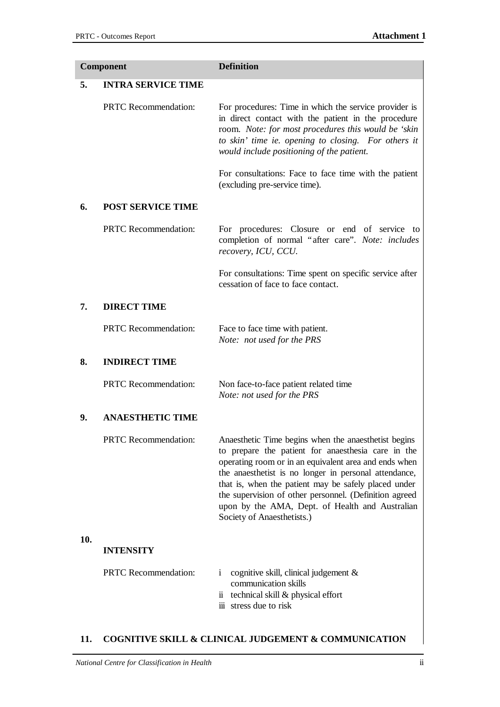| <b>Component</b> |                             | <b>Definition</b>                                                                                                                                                                                                                                                                                                                                                                                                               |
|------------------|-----------------------------|---------------------------------------------------------------------------------------------------------------------------------------------------------------------------------------------------------------------------------------------------------------------------------------------------------------------------------------------------------------------------------------------------------------------------------|
| 5.               | <b>INTRA SERVICE TIME</b>   |                                                                                                                                                                                                                                                                                                                                                                                                                                 |
|                  | <b>PRTC</b> Recommendation: | For procedures: Time in which the service provider is<br>in direct contact with the patient in the procedure<br>room. Note: for most procedures this would be 'skin<br>to skin' time ie. opening to closing. For others it<br>would include positioning of the patient.                                                                                                                                                         |
|                  |                             | For consultations: Face to face time with the patient<br>(excluding pre-service time).                                                                                                                                                                                                                                                                                                                                          |
| 6.               | <b>POST SERVICE TIME</b>    |                                                                                                                                                                                                                                                                                                                                                                                                                                 |
|                  | <b>PRTC</b> Recommendation: | For procedures: Closure or end of service to<br>completion of normal "after care". Note: includes<br>recovery, ICU, CCU.                                                                                                                                                                                                                                                                                                        |
|                  |                             | For consultations: Time spent on specific service after<br>cessation of face to face contact.                                                                                                                                                                                                                                                                                                                                   |
| 7.               | <b>DIRECT TIME</b>          |                                                                                                                                                                                                                                                                                                                                                                                                                                 |
|                  | <b>PRTC</b> Recommendation: | Face to face time with patient.<br>Note: not used for the PRS                                                                                                                                                                                                                                                                                                                                                                   |
| 8.               | <b>INDIRECT TIME</b>        |                                                                                                                                                                                                                                                                                                                                                                                                                                 |
|                  | <b>PRTC</b> Recommendation: | Non face-to-face patient related time<br>Note: not used for the PRS                                                                                                                                                                                                                                                                                                                                                             |
| 9.               | <b>ANAESTHETIC TIME</b>     |                                                                                                                                                                                                                                                                                                                                                                                                                                 |
|                  | <b>PRTC</b> Recommendation: | Anaesthetic Time begins when the anaesthetist begins<br>to prepare the patient for anaesthesia care in the<br>operating room or in an equivalent area and ends when<br>the anaesthetist is no longer in personal attendance,<br>that is, when the patient may be safely placed under<br>the supervision of other personnel. (Definition agreed<br>upon by the AMA, Dept. of Health and Australian<br>Society of Anaesthetists.) |
| 10.              | <b>INTENSITY</b>            |                                                                                                                                                                                                                                                                                                                                                                                                                                 |
|                  | <b>PRTC</b> Recommendation: | cognitive skill, clinical judgement $\&$<br>i.<br>communication skills<br>ii technical skill & physical effort<br>iii stress due to risk                                                                                                                                                                                                                                                                                        |

## **11. COGNITIVE SKILL & CLINICAL JUDGEMENT & COMMUNICATION**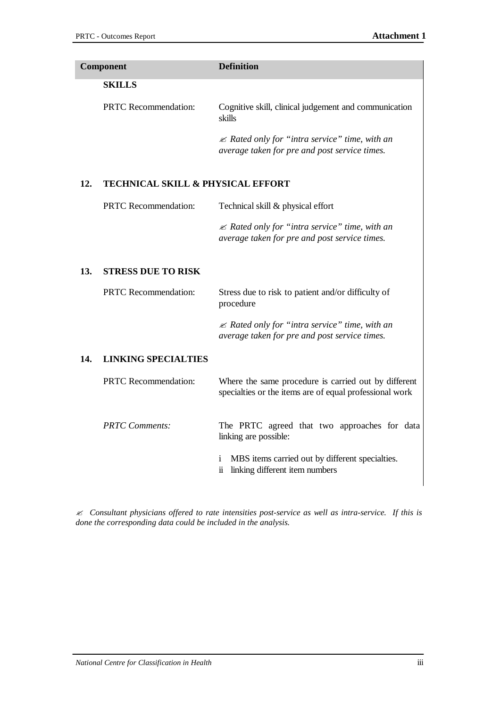|                                              | <b>Definition</b>                                                                                               |
|----------------------------------------------|-----------------------------------------------------------------------------------------------------------------|
|                                              |                                                                                                                 |
|                                              |                                                                                                                 |
| <b>PRTC</b> Recommendation:                  | Cognitive skill, clinical judgement and communication<br>skills                                                 |
|                                              | ≤ Rated only for "intra service" time, with an<br>average taken for pre and post service times.                 |
| <b>TECHNICAL SKILL &amp; PHYSICAL EFFORT</b> |                                                                                                                 |
| <b>PRTC</b> Recommendation:                  | Technical skill & physical effort                                                                               |
|                                              | $\mathcal{Z}$ Rated only for "intra service" time, with an<br>average taken for pre and post service times.     |
| <b>STRESS DUE TO RISK</b>                    |                                                                                                                 |
| <b>PRTC</b> Recommendation:                  | Stress due to risk to patient and/or difficulty of<br>procedure                                                 |
|                                              | $\mathcal{L}$ Rated only for "intra service" time, with an<br>average taken for pre and post service times.     |
| <b>LINKING SPECIALTIES</b>                   |                                                                                                                 |
| <b>PRTC</b> Recommendation:                  | Where the same procedure is carried out by different<br>specialties or the items are of equal professional work |
| <b>PRTC</b> Comments:                        | The PRTC agreed that two approaches for data<br>linking are possible:                                           |
|                                              | MBS items carried out by different specialties.<br>i.<br>linking different item numbers<br>$\ddot{\mathbf{n}}$  |
|                                              | <b>Component</b><br><b>SKILLS</b>                                                                               |

*? Consultant physicians offered to rate intensities post-service as well as intra-service. If this is done the corresponding data could be included in the analysis.*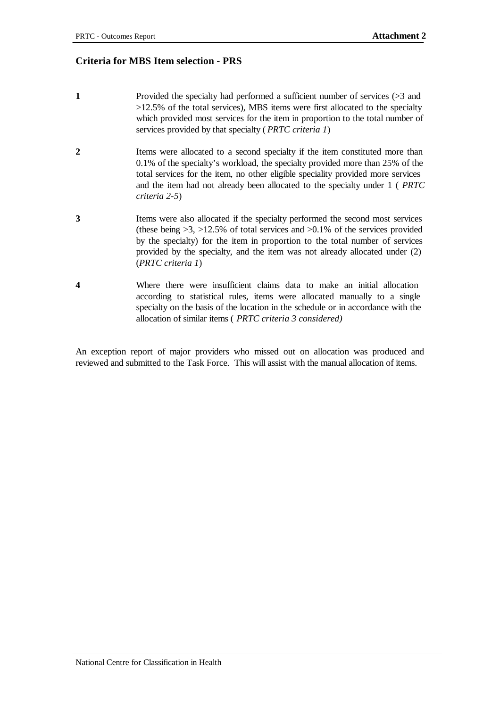#### **Criteria for MBS Item selection - PRS**

- **1** Provided the specialty had performed a sufficient number of services (>3 and >12.5% of the total services), MBS items were first allocated to the specialty which provided most services for the item in proportion to the total number of services provided by that specialty ( *PRTC criteria 1*)
- **2** Items were allocated to a second specialty if the item constituted more than 0.1% of the specialty's workload, the specialty provided more than 25% of the total services for the item, no other eligible speciality provided more services and the item had not already been allocated to the specialty under 1 ( *PRTC criteria 2-5*)
- **3** Items were also allocated if the specialty performed the second most services (these being  $>3$ ,  $>12.5\%$  of total services and  $>0.1\%$  of the services provided by the specialty) for the item in proportion to the total number of services provided by the specialty, and the item was not already allocated under (2) (*PRTC criteria 1*)
- **4** Where there were insufficient claims data to make an initial allocation according to statistical rules, items were allocated manually to a single specialty on the basis of the location in the schedule or in accordance with the allocation of similar items ( *PRTC criteria 3 considered)*

An exception report of major providers who missed out on allocation was produced and reviewed and submitted to the Task Force. This will assist with the manual allocation of items.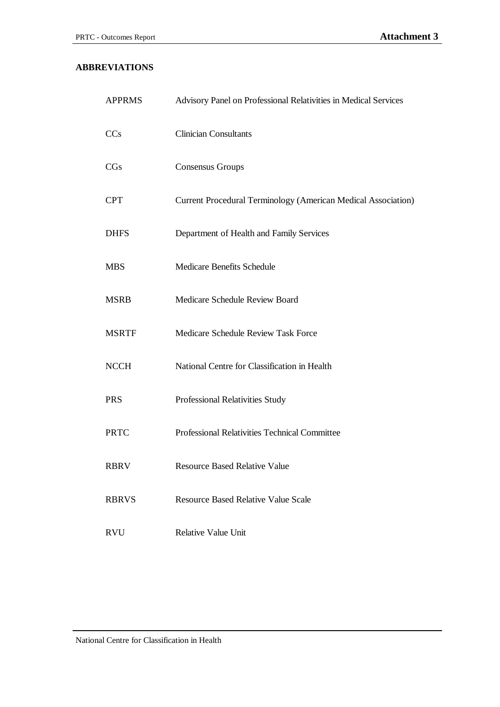#### **ABBREVIATIONS**

| <b>APPRMS</b> | Advisory Panel on Professional Relativities in Medical Services |
|---------------|-----------------------------------------------------------------|
| CCs           | <b>Clinician Consultants</b>                                    |
| CGs           | <b>Consensus Groups</b>                                         |
| <b>CPT</b>    | Current Procedural Terminology (American Medical Association)   |
| <b>DHFS</b>   | Department of Health and Family Services                        |
| <b>MBS</b>    | <b>Medicare Benefits Schedule</b>                               |
| <b>MSRB</b>   | Medicare Schedule Review Board                                  |
| <b>MSRTF</b>  | Medicare Schedule Review Task Force                             |
| <b>NCCH</b>   | National Centre for Classification in Health                    |
| <b>PRS</b>    | Professional Relativities Study                                 |
| <b>PRTC</b>   | Professional Relativities Technical Committee                   |
| <b>RBRV</b>   | <b>Resource Based Relative Value</b>                            |
| <b>RBRVS</b>  | <b>Resource Based Relative Value Scale</b>                      |
| <b>RVU</b>    | <b>Relative Value Unit</b>                                      |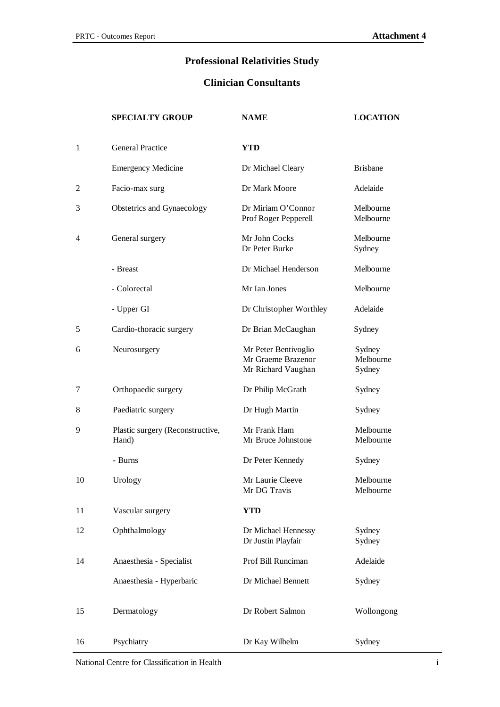## **Professional Relativities Study**

### **Clinician Consultants**

|    | <b>SPECIALTY GROUP</b>                    | <b>NAME</b>                                                      | <b>LOCATION</b>               |
|----|-------------------------------------------|------------------------------------------------------------------|-------------------------------|
| 1  | <b>General Practice</b>                   | <b>YTD</b>                                                       |                               |
|    | <b>Emergency Medicine</b>                 | Dr Michael Cleary                                                | <b>Brisbane</b>               |
| 2  | Facio-max surg                            | Dr Mark Moore                                                    | Adelaide                      |
| 3  | Obstetrics and Gynaecology                | Dr Miriam O'Connor<br>Prof Roger Pepperell                       | Melbourne<br>Melbourne        |
| 4  | General surgery                           | Mr John Cocks<br>Dr Peter Burke                                  | Melbourne<br>Sydney           |
|    | - Breast                                  | Dr Michael Henderson                                             | Melbourne                     |
|    | - Colorectal                              | Mr Ian Jones                                                     | Melbourne                     |
|    | - Upper GI                                | Dr Christopher Worthley                                          | Adelaide                      |
| 5  | Cardio-thoracic surgery                   | Dr Brian McCaughan                                               | Sydney                        |
| 6  | Neurosurgery                              | Mr Peter Bentivoglio<br>Mr Graeme Brazenor<br>Mr Richard Vaughan | Sydney<br>Melbourne<br>Sydney |
| 7  | Orthopaedic surgery                       | Dr Philip McGrath                                                | Sydney                        |
| 8  | Paediatric surgery                        | Dr Hugh Martin                                                   | Sydney                        |
| 9  | Plastic surgery (Reconstructive,<br>Hand) | Mr Frank Ham<br>Mr Bruce Johnstone                               | Melbourne<br>Melbourne        |
|    | - Burns                                   | Dr Peter Kennedy                                                 | Sydney                        |
| 10 | Urology                                   | Mr Laurie Cleeve<br>Mr DG Travis                                 | Melbourne<br>Melbourne        |
| 11 | Vascular surgery                          | <b>YTD</b>                                                       |                               |
| 12 | Ophthalmology                             | Dr Michael Hennessy<br>Dr Justin Playfair                        | Sydney<br>Sydney              |
| 14 | Anaesthesia - Specialist                  | Prof Bill Runciman                                               | Adelaide                      |
|    | Anaesthesia - Hyperbaric                  | Dr Michael Bennett                                               | Sydney                        |
| 15 | Dermatology                               | Dr Robert Salmon                                                 | Wollongong                    |
| 16 | Psychiatry                                | Dr Kay Wilhelm                                                   | Sydney                        |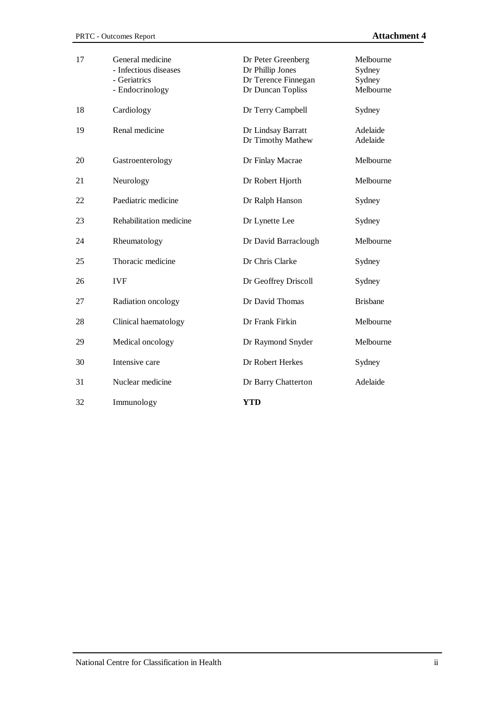| 17 | General medicine<br>- Infectious diseases<br>- Geriatrics<br>- Endocrinology | Dr Peter Greenberg<br>Dr Phillip Jones<br>Dr Terence Finnegan<br>Dr Duncan Topliss | Melbourne<br>Sydney<br>Sydney<br>Melbourne |
|----|------------------------------------------------------------------------------|------------------------------------------------------------------------------------|--------------------------------------------|
| 18 | Cardiology                                                                   | Dr Terry Campbell                                                                  | Sydney                                     |
| 19 | Renal medicine                                                               | Dr Lindsay Barratt<br>Dr Timothy Mathew                                            | Adelaide<br>Adelaide                       |
| 20 | Gastroenterology                                                             | Dr Finlay Macrae                                                                   | Melbourne                                  |
| 21 | Neurology                                                                    | Dr Robert Hjorth                                                                   | Melbourne                                  |
| 22 | Paediatric medicine                                                          | Dr Ralph Hanson                                                                    | Sydney                                     |
| 23 | Rehabilitation medicine                                                      | Dr Lynette Lee                                                                     | Sydney                                     |
| 24 | Rheumatology                                                                 | Dr David Barraclough                                                               | Melbourne                                  |
| 25 | Thoracic medicine                                                            | Dr Chris Clarke                                                                    | Sydney                                     |
| 26 | <b>IVF</b>                                                                   | Dr Geoffrey Driscoll                                                               | Sydney                                     |
| 27 | Radiation oncology                                                           | Dr David Thomas                                                                    | <b>Brisbane</b>                            |
| 28 | Clinical haematology                                                         | Dr Frank Firkin                                                                    | Melbourne                                  |
| 29 | Medical oncology                                                             | Dr Raymond Snyder                                                                  | Melbourne                                  |
| 30 | Intensive care                                                               | Dr Robert Herkes                                                                   | Sydney                                     |
| 31 | Nuclear medicine                                                             | Dr Barry Chatterton                                                                | Adelaide                                   |
| 32 | Immunology                                                                   | <b>YTD</b>                                                                         |                                            |